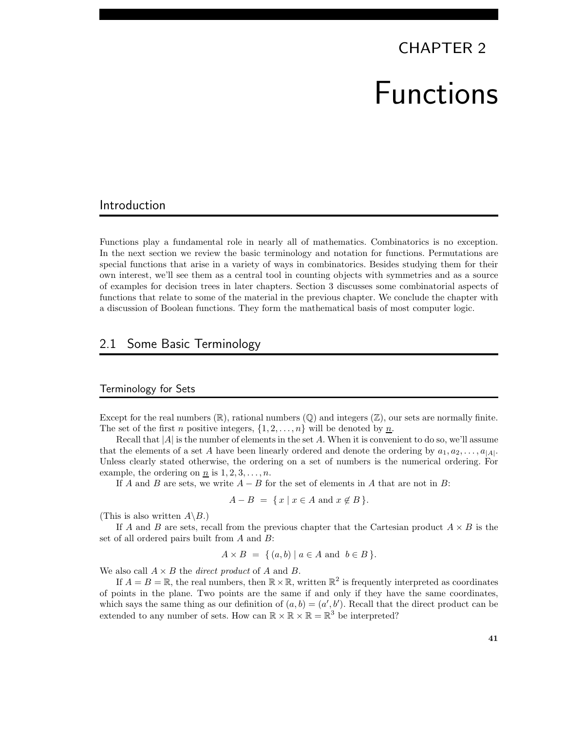# CHAPTER 2 Functions

# Introduction

Functions play a fundamental role in nearly all of mathematics. Combinatorics is no exception. In the next section we review the basic terminology and notation for functions. Permutations are special functions that arise in a variety of ways in combinatorics. Besides studying them for their own interest, we'll see them as a central tool in counting objects with symmetries and as a source of examples for decision trees in later chapters. Section 3 discusses some combinatorial aspects of functions that relate to some of the material in the previous chapter. We conclude the chapter with a discussion of Boolean functions. They form the mathematical basis of most computer logic.

# 2.1 Some Basic Terminology

#### Terminology for Sets

Except for the real numbers  $(\mathbb{R})$ , rational numbers  $(\mathbb{Q})$  and integers  $(\mathbb{Z})$ , our sets are normally finite. The set of the first *n* positive integers,  $\{1, 2, \ldots, n\}$  will be denoted by <u>*n*</u>.

Recall that  $|A|$  is the number of elements in the set A. When it is convenient to do so, we'll assume that the elements of a set A have been linearly ordered and denote the ordering by  $a_1, a_2, \ldots, a_{|A|}$ . Unless clearly stated otherwise, the ordering on a set of numbers is the numerical ordering. For example, the ordering on n is  $1, 2, 3, \ldots, n$ .

If A and B are sets, we write  $A - B$  for the set of elements in A that are not in B:

$$
A - B = \{ x \mid x \in A \text{ and } x \notin B \}.
$$

(This is also written  $A \backslash B$ .)

If A and B are sets, recall from the previous chapter that the Cartesian product  $A \times B$  is the set of all ordered pairs built from A and B:

$$
A \times B = \{ (a, b) \mid a \in A \text{ and } b \in B \}.
$$

We also call  $A \times B$  the *direct product* of A and B.

If  $A = B = \mathbb{R}$ , the real numbers, then  $\mathbb{R} \times \mathbb{R}$ , written  $\mathbb{R}^2$  is frequently interpreted as coordinates of points in the plane. Two points are the same if and only if they have the same coordinates, which says the same thing as our definition of  $(a, b) = (a', b')$ . Recall that the direct product can be extended to any number of sets. How can  $\mathbb{R} \times \mathbb{R} \times \mathbb{R} = \mathbb{R}^3$  be interpreted?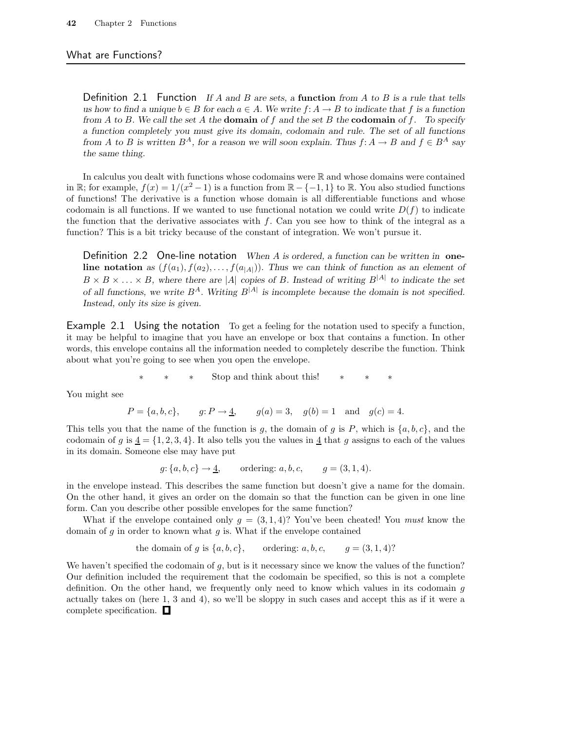#### What are Functions?

Definition 2.1 Function If A and B are sets, a function from A to B is a rule that tells us how to find a unique  $b \in B$  for each  $a \in A$ . We write  $f: A \to B$  to indicate that f is a function from A to B. We call the set A the **domain** of f and the set B the **codomain** of f. To specify a function completely you must give its domain, codomain and rule. The set of all functions from A to B is written  $B^A$ , for a reason we will soon explain. Thus  $f: A \to B$  and  $f \in B^A$  say the same thing.

In calculus you dealt with functions whose codomains were  $\mathbb R$  and whose domains were contained in R; for example,  $f(x) = 1/(x^2 - 1)$  is a function from  $\mathbb{R} - \{-1, 1\}$  to R. You also studied functions of functions! The derivative is a function whose domain is all differentiable functions and whose codomain is all functions. If we wanted to use functional notation we could write  $D(f)$  to indicate the function that the derivative associates with  $f$ . Can you see how to think of the integral as a function? This is a bit tricky because of the constant of integration. We won't pursue it.

Definition 2.2 One-line notation When  $A$  is ordered, a function can be written in oneline notation as  $(f(a_1), f(a_2), \ldots, f(a_{|A|}))$ . Thus we can think of function as an element of  $B \times B \times \ldots \times B$ , where there are |A| copies of B. Instead of writing  $B^{|A|}$  to indicate the set of all functions, we write  $B^A$ . Writing  $B^{|A|}$  is incomplete because the domain is not specified. Instead, only its size is given.

Example 2.1 Using the notation To get a feeling for the notation used to specify a function, it may be helpful to imagine that you have an envelope or box that contains a function. In other words, this envelope contains all the information needed to completely describe the function. Think about what you're going to see when you open the envelope.

∗ ∗ ∗ Stop and think about this! ∗ ∗ ∗

You might see

$$
P = \{a, b, c\},
$$
  $g: P \to \underline{4},$   $g(a) = 3,$   $g(b) = 1$  and  $g(c) = 4.$ 

This tells you that the name of the function is g, the domain of g is P, which is  $\{a, b, c\}$ , and the codomain of g is  $\underline{4} = \{1, 2, 3, 4\}$ . It also tells you the values in  $\underline{4}$  that g assigns to each of the values in its domain. Someone else may have put

$$
g: \{a, b, c\} \to \underline{4}
$$
, ordering:  $a, b, c$ ,  $g = (3, 1, 4)$ .

in the envelope instead. This describes the same function but doesn't give a name for the domain. On the other hand, it gives an order on the domain so that the function can be given in one line form. Can you describe other possible envelopes for the same function?

What if the envelope contained only  $g = (3, 1, 4)$ ? You've been cheated! You *must* know the domain of  $g$  in order to known what  $g$  is. What if the envelope contained

the domain of g is 
$$
\{a, b, c\}
$$
, ordering: a, b, c,  $g = (3, 1, 4)$ ?

We haven't specified the codomain of  $g$ , but is it necessary since we know the values of the function? Our definition included the requirement that the codomain be specified, so this is not a complete definition. On the other hand, we frequently only need to know which values in its codomain g actually takes on (here 1, 3 and 4), so we'll be sloppy in such cases and accept this as if it were a complete specification.  $\square$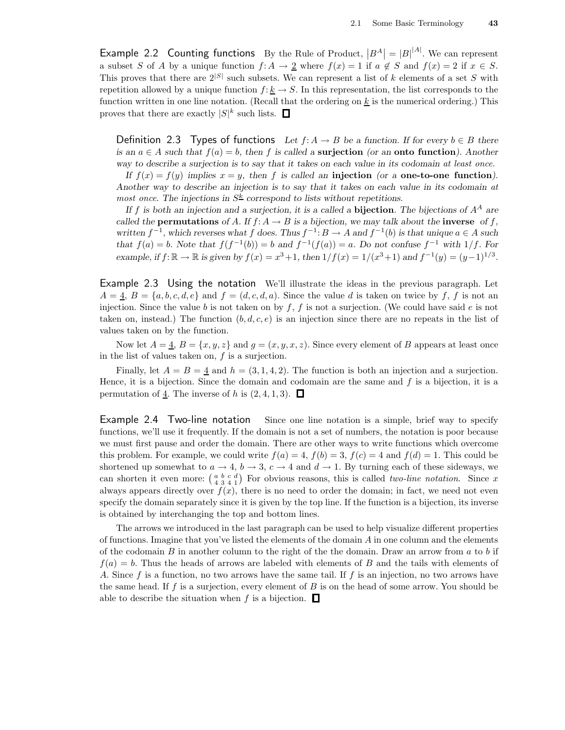Example 2.2 Counting functions By the Rule of Product,  $|B^A| = |B|^{|A|}$ . We can represent a subset S of A by a unique function  $f: A \to \underline{2}$  where  $f(x) = 1$  if  $a \notin S$  and  $f(x) = 2$  if  $x \in S$ . This proves that there are  $2^{|S|}$  such subsets. We can represent a list of k elements of a set S with repetition allowed by a unique function  $f: \underline{k} \to S$ . In this representation, the list corresponds to the function written in one line notation. (Recall that the ordering on  $\underline{k}$  is the numerical ordering.) This proves that there are exactly  $|S|^k$  such lists.

Definition 2.3 Types of functions Let  $f: A \to B$  be a function. If for every  $b \in B$  there is an  $a \in A$  such that  $f(a) = b$ , then f is called a **surjection** (or an **onto function**). Another way to describe a surjection is to say that it takes on each value in its codomain at least once.

If  $f(x) = f(y)$  implies  $x = y$ , then f is called an injection (or a one-to-one function). Another way to describe an injection is to say that it takes on each value in its codomain at most once. The injections in  $S^k$  correspond to lists without repetitions.

If f is both an injection and a surjection, it is a called a **bijection**. The bijections of  $A^A$  are called the **permutations** of A. If  $f: A \to B$  is a bijection, we may talk about the **inverse** of f, written  $f^{-1}$ , which reverses what f does. Thus  $f^{-1}: B \to A$  and  $f^{-1}(b)$  is that unique  $a \in A$  such that  $f(a) = b$ . Note that  $f(f^{-1}(b)) = b$  and  $f^{-1}(f(a)) = a$ . Do not confuse  $f^{-1}$  with  $1/f$ . For example, if  $f: \mathbb{R} \to \mathbb{R}$  is given by  $f(x) = x^3 + 1$ , then  $1/f(x) = 1/(x^3 + 1)$  and  $f^{-1}(y) = (y-1)^{1/3}$ .

Example 2.3 Using the notation We'll illustrate the ideas in the previous paragraph. Let  $A = \underline{4}, B = \{a, b, c, d, e\}$  and  $f = (d, c, d, a)$ . Since the value d is taken on twice by f, f is not an injection. Since the value b is not taken on by  $f, f$  is not a surjection. (We could have said e is not taken on, instead.) The function  $(b, d, c, e)$  is an injection since there are no repeats in the list of values taken on by the function.

Now let  $A = \underline{4}, B = \{x, y, z\}$  and  $g = (x, y, x, z)$ . Since every element of B appears at least once in the list of values taken on,  $f$  is a surjection.

Finally, let  $A = B = \underline{4}$  and  $h = (3, 1, 4, 2)$ . The function is both an injection and a surjection. Hence, it is a bijection. Since the domain and codomain are the same and  $f$  is a bijection, it is a permutation of  $\underline{4}$ . The inverse of h is  $(2,4,1,3)$ .  $\Box$ 

Example 2.4 Two-line notation Since one line notation is a simple, brief way to specify functions, we'll use it frequently. If the domain is not a set of numbers, the notation is poor because we must first pause and order the domain. There are other ways to write functions which overcome this problem. For example, we could write  $f(a) = 4$ ,  $f(b) = 3$ ,  $f(c) = 4$  and  $f(d) = 1$ . This could be shortened up somewhat to  $a \to 4$ ,  $b \to 3$ ,  $c \to 4$  and  $d \to 1$ . By turning each of these sideways, we can shorten it even more:  $\begin{pmatrix} a & b & c & d \\ 4 & 3 & 4 & 1 \end{pmatrix}$  For obvious reasons, this is called *two-line notation*. Since x always appears directly over  $f(x)$ , there is no need to order the domain; in fact, we need not even specify the domain separately since it is given by the top line. If the function is a bijection, its inverse is obtained by interchanging the top and bottom lines.

The arrows we introduced in the last paragraph can be used to help visualize different properties of functions. Imagine that you've listed the elements of the domain  $A$  in one column and the elements of the codomain  $B$  in another column to the right of the the domain. Draw an arrow from  $a$  to  $b$  if  $f(a) = b$ . Thus the heads of arrows are labeled with elements of B and the tails with elements of A. Since f is a function, no two arrows have the same tail. If f is an injection, no two arrows have the same head. If  $f$  is a surjection, every element of  $B$  is on the head of some arrow. You should be able to describe the situation when f is a bijection.  $\Box$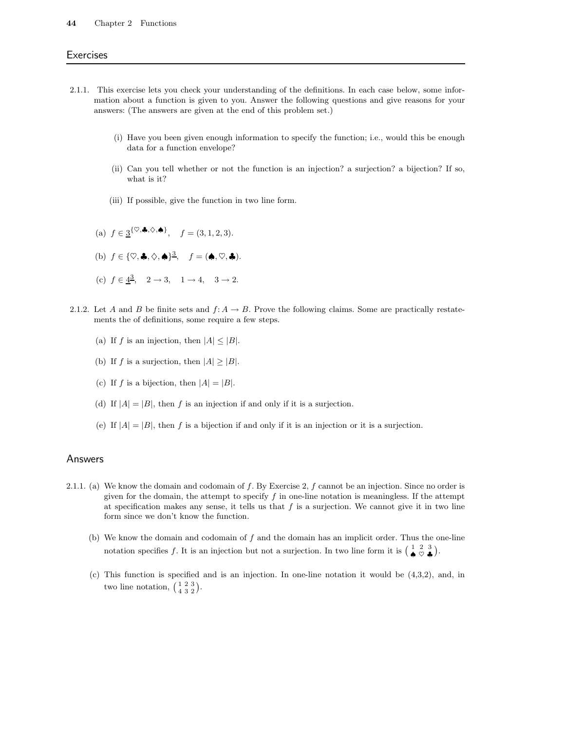#### 44 Chapter 2 Functions

#### **Exercises**

- 2.1.1. This exercise lets you check your understanding of the definitions. In each case below, some information about a function is given to you. Answer the following questions and give reasons for your answers: (The answers are given at the end of this problem set.)
	- (i) Have you been given enough information to specify the function; i.e., would this be enough data for a function envelope?
	- (ii) Can you tell whether or not the function is an injection? a surjection? a bijection? If so, what is it?
	- (iii) If possible, give the function in two line form.
	- (a)  $f \in \frac{3}{8}^{\{\heartsuit, \clubsuit, \diamondsuit, \spadesuit\}}$ ,  $f = (3, 1, 2, 3)$ .
	- (b)  $f \in \{\heartsuit, \clubsuit, \diamondsuit, \spadesuit\}^3$ ,  $f = (\spadesuit, \heartsuit, \clubsuit)$ .
	- (c)  $f \in \frac{4^3}{3}$ ,  $2 \to 3$ ,  $1 \to 4$ ,  $3 \to 2$ .
- 2.1.2. Let A and B be finite sets and  $f: A \to B$ . Prove the following claims. Some are practically restatements the of definitions, some require a few steps.
	- (a) If f is an injection, then  $|A| \leq |B|$ .
	- (b) If f is a surjection, then  $|A| \geq |B|$ .
	- (c) If f is a bijection, then  $|A| = |B|$ .
	- (d) If  $|A| = |B|$ , then f is an injection if and only if it is a surjection.
	- (e) If  $|A| = |B|$ , then f is a bijection if and only if it is an injection or it is a surjection.

#### Answers

- 2.1.1. (a) We know the domain and codomain of f. By Exercise 2, f cannot be an injection. Since no order is given for the domain, the attempt to specify  $f$  in one-line notation is meaningless. If the attempt at specification makes any sense, it tells us that  $f$  is a surjection. We cannot give it in two line form since we don't know the function.
	- (b) We know the domain and codomain of  $f$  and the domain has an implicit order. Thus the one-line notation specifies f. It is an injection but not a surjection. In two line form it is  $\begin{pmatrix} 1 & 2 & 3 \\ \spadesuit & \heartsuit & \clubsuit \end{pmatrix}$ .
	- (c) This function is specified and is an injection. In one-line notation it would be (4,3,2), and, in two line notation,  $\begin{pmatrix} 1 & 2 & 3 \\ 4 & 3 & 2 \end{pmatrix}$ .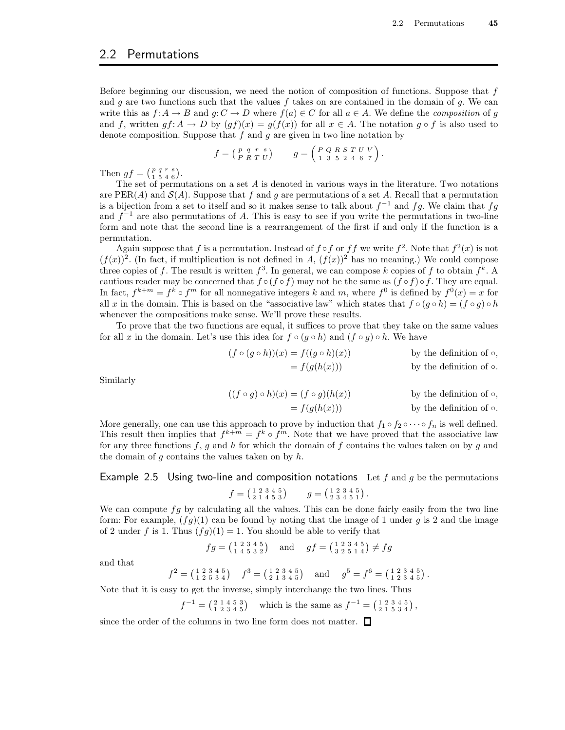## 2.2 Permutations

Before beginning our discussion, we need the notion of composition of functions. Suppose that  $f$ and g are two functions such that the values f takes on are contained in the domain of  $g$ . We can write this as  $f: A \to B$  and  $g: C \to D$  where  $f(a) \in C$  for all  $a \in A$ . We define the *composition* of g and f, written  $gf: A \to D$  by  $(gf)(x) = g(f(x))$  for all  $x \in A$ . The notation  $g \circ f$  is also used to denote composition. Suppose that  $f$  and  $g$  are given in two line notation by

$$
f = \begin{pmatrix} p & q & r & s \\ P & R & T & U \end{pmatrix} \qquad g = \begin{pmatrix} P & Q & R & S & T & U & V \\ 1 & 3 & 5 & 2 & 4 & 6 & 7 \end{pmatrix}.
$$

Then  $gf = \begin{pmatrix} p & q & r & s \\ 1 & 5 & 4 & 6 \end{pmatrix}$ .

The set of permutations on a set  $A$  is denoted in various ways in the literature. Two notations are PER(A) and  $\mathcal{S}(A)$ . Suppose that f and g are permutations of a set A. Recall that a permutation is a bijection from a set to itself and so it makes sense to talk about  $f^{-1}$  and  $fg$ . We claim that  $fg$ and  $f^{-1}$  are also permutations of A. This is easy to see if you write the permutations in two-line form and note that the second line is a rearrangement of the first if and only if the function is a permutation.

Again suppose that f is a permutation. Instead of  $f \circ f$  or  $ff$  we write  $f^2$ . Note that  $f^2(x)$  is not  $(f(x))^2$ . (In fact, if multiplication is not defined in A,  $(f(x))^2$  has no meaning.) We could compose three copies of f. The result is written  $f^3$ . In general, we can compose k copies of f to obtain  $f^k$ . A cautious reader may be concerned that  $f \circ (f \circ f)$  may not be the same as  $(f \circ f) \circ f$ . They are equal. In fact,  $f^{k+m} = f^k \circ f^m$  for all nonnegative integers k and m, where  $f^0$  is defined by  $f^0(x) = x$  for all x in the domain. This is based on the "associative law" which states that  $f \circ (g \circ h) = (f \circ g) \circ h$ whenever the compositions make sense. We'll prove these results.

To prove that the two functions are equal, it suffices to prove that they take on the same values for all x in the domain. Let's use this idea for  $f \circ (g \circ h)$  and  $(f \circ g) \circ h$ . We have

$$
(f \circ (g \circ h))(x) = f((g \circ h)(x))
$$
 by the definition of  $\circ$ ,  
= f(g(h(x))) by the definition of  $\circ$ .

Similarly

$$
((f \circ g) \circ h)(x) = (f \circ g)(h(x))
$$
 by the definition of  $\circ$ ,  
=  $f(g(h(x)))$  by the definition of  $\circ$ .

More generally, one can use this approach to prove by induction that  $f_1 \circ f_2 \circ \cdots \circ f_n$  is well defined. This result then implies that  $f^{k+m} = f^k \circ f^m$ . Note that we have proved that the associative law for any three functions f, g and h for which the domain of f contains the values taken on by g and the domain of  $g$  contains the values taken on by  $h$ .

# Example 2.5 Using two-line and composition notations Let  $f$  and  $g$  be the permutations  $f = \begin{pmatrix} 1 & 2 & 3 & 4 & 5 \\ 2 & 1 & 4 & 5 & 3 \end{pmatrix}$   $g = \begin{pmatrix} 1 & 2 & 3 & 4 & 5 \\ 2 & 3 & 4 & 5 & 1 \end{pmatrix}$ .

We can compute  $fg$  by calculating all the values. This can be done fairly easily from the two line form: For example,  $(fg)(1)$  can be found by noting that the image of 1 under g is 2 and the image of 2 under f is 1. Thus  $(fg)(1) = 1$ . You should be able to verify that

$$
fg = \begin{pmatrix} 1 & 2 & 3 & 4 & 5 \\ 1 & 4 & 5 & 3 & 2 \end{pmatrix} \text{ and } gf = \begin{pmatrix} 1 & 2 & 3 & 4 & 5 \\ 3 & 2 & 5 & 1 & 4 \end{pmatrix} \neq fg
$$

and that

$$
f^{2} = \begin{pmatrix} 1 & 2 & 3 & 4 & 5 \\ 1 & 2 & 5 & 3 & 4 \end{pmatrix} \quad f^{3} = \begin{pmatrix} 1 & 2 & 3 & 4 & 5 \\ 2 & 1 & 3 & 4 & 5 \end{pmatrix} \quad \text{and} \quad g^{5} = f^{6} = \begin{pmatrix} 1 & 2 & 3 & 4 & 5 \\ 1 & 2 & 3 & 4 & 5 \end{pmatrix}.
$$

Note that it is easy to get the inverse, simply interchange the two lines. Thus

$$
f^{-1} = \begin{pmatrix} 2 & 1 & 4 & 5 & 3 \\ 1 & 2 & 3 & 4 & 5 \end{pmatrix}
$$
 which is the same as  $f^{-1} = \begin{pmatrix} 1 & 2 & 3 & 4 & 5 \\ 2 & 1 & 5 & 3 & 4 \end{pmatrix}$ ,

since the order of the columns in two line form does not matter.  $\Box$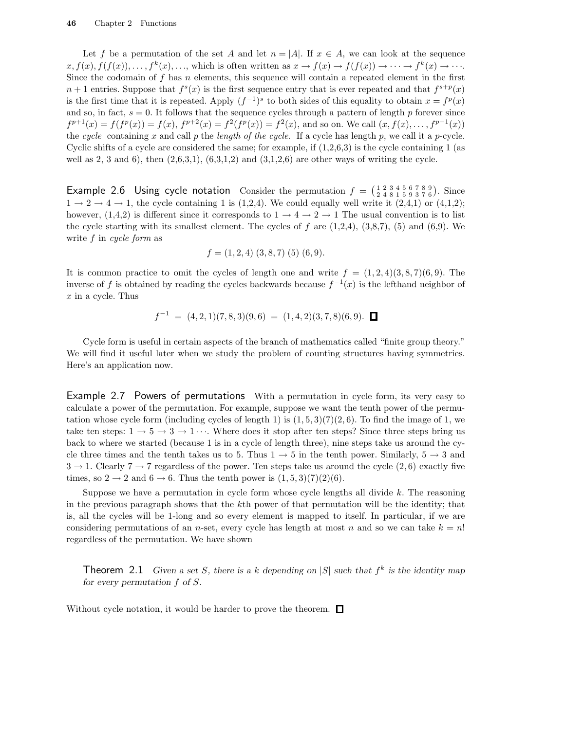Let f be a permutation of the set A and let  $n = |A|$ . If  $x \in A$ , we can look at the sequence  $x, f(x), f(f(x)), \ldots, f^k(x), \ldots$ , which is often written as  $x \to f(x) \to f(f(x)) \to \cdots \to f^k(x) \to \cdots$ . Since the codomain of f has n elements, this sequence will contain a repeated element in the first  $n+1$  entries. Suppose that  $f^{s}(x)$  is the first sequence entry that is ever repeated and that  $f^{s+p}(x)$ is the first time that it is repeated. Apply  $(f^{-1})^s$  to both sides of this equality to obtain  $x = f^p(x)$ and so, in fact,  $s = 0$ . It follows that the sequence cycles through a pattern of length p forever since  $f^{p+1}(x) = f(f^p(x)) = f(x), f^{p+2}(x) = f^2(f^p(x)) = f^2(x)$ , and so on. We call  $(x, f(x), \ldots, f^{p-1}(x))$ the cycle containing x and call p the length of the cycle. If a cycle has length p, we call it a p-cycle. Cyclic shifts of a cycle are considered the same; for example, if  $(1,2,6,3)$  is the cycle containing 1 (as well as 2, 3 and 6), then  $(2,6,3,1)$ ,  $(6,3,1,2)$  and  $(3,1,2,6)$  are other ways of writing the cycle.

Example 2.6 Using cycle notation Consider the permutation  $f = \begin{pmatrix} 1 & 2 & 3 & 4 & 5 & 6 & 7 & 8 & 9 \\ 2 & 4 & 8 & 1 & 5 & 9 & 3 & 7 & 6 \end{pmatrix}$ . Since  $1 \rightarrow 2 \rightarrow 4 \rightarrow 1$ , the cycle containing 1 is (1,2,4). We could equally well write it (2,4,1) or (4,1,2); however,  $(1,4,2)$  is different since it corresponds to  $1 \rightarrow 4 \rightarrow 2 \rightarrow 1$  The usual convention is to list the cycle starting with its smallest element. The cycles of f are  $(1,2,4)$ ,  $(3,8,7)$ ,  $(5)$  and  $(6,9)$ . We write  $f$  in cycle form as

$$
f = (1, 2, 4) (3, 8, 7) (5) (6, 9).
$$

It is common practice to omit the cycles of length one and write  $f = (1, 2, 4)(3, 8, 7)(6, 9)$ . The inverse of f is obtained by reading the cycles backwards because  $f^{-1}(x)$  is the lefthand neighbor of  $x$  in a cycle. Thus

$$
f^{-1} = (4,2,1)(7,8,3)(9,6) = (1,4,2)(3,7,8)(6,9). \quad \Box
$$

Cycle form is useful in certain aspects of the branch of mathematics called "finite group theory." We will find it useful later when we study the problem of counting structures having symmetries. Here's an application now.

Example 2.7 Powers of permutations With a permutation in cycle form, its very easy to calculate a power of the permutation. For example, suppose we want the tenth power of the permutation whose cycle form (including cycles of length 1) is  $(1, 5, 3)(7)(2, 6)$ . To find the image of 1, we take ten steps:  $1 \rightarrow 5 \rightarrow 3 \rightarrow 1 \cdots$ . Where does it stop after ten steps? Since three steps bring us back to where we started (because 1 is in a cycle of length three), nine steps take us around the cycle three times and the tenth takes us to 5. Thus  $1 \rightarrow 5$  in the tenth power. Similarly,  $5 \rightarrow 3$  and  $3 \rightarrow 1$ . Clearly  $7 \rightarrow 7$  regardless of the power. Ten steps take us around the cycle  $(2, 6)$  exactly five times, so  $2 \rightarrow 2$  and  $6 \rightarrow 6$ . Thus the tenth power is  $(1, 5, 3)(7)(2)(6)$ .

Suppose we have a permutation in cycle form whose cycle lengths all divide  $k$ . The reasoning in the previous paragraph shows that the kth power of that permutation will be the identity; that is, all the cycles will be 1-long and so every element is mapped to itself. In particular, if we are considering permutations of an *n*-set, every cycle has length at most *n* and so we can take  $k = n!$ regardless of the permutation. We have shown

**Theorem** 2.1 Given a set S, there is a k depending on  $|S|$  such that  $f^k$  is the identity map for every permutation  $f$  of  $S$ .

Without cycle notation, it would be harder to prove the theorem.  $\Box$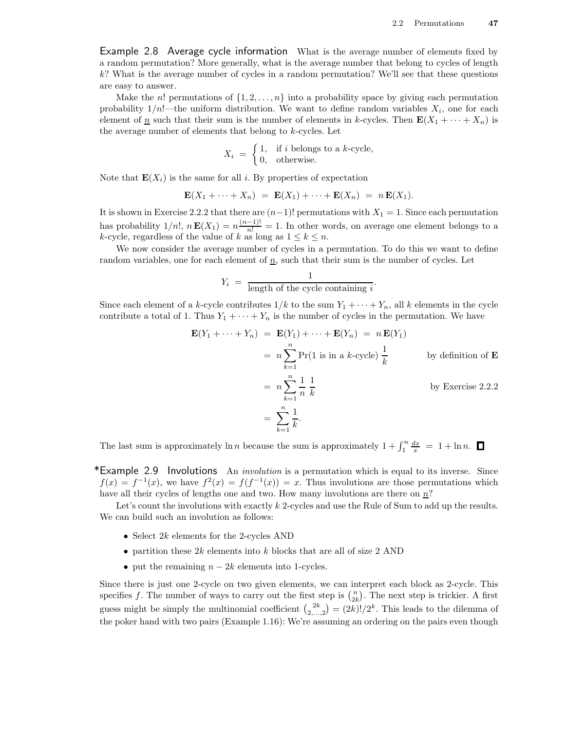Example 2.8 Average cycle information What is the average number of elements fixed by a random permutation? More generally, what is the average number that belong to cycles of length k? What is the average number of cycles in a random permutation? We'll see that these questions are easy to answer.

Make the n! permutations of  $\{1, 2, \ldots, n\}$  into a probability space by giving each permutation probability  $1/n!$ —the uniform distribution. We want to define random variables  $X_i$ , one for each element of <u>n</u> such that their sum is the number of elements in k-cycles. Then  $\mathbf{E}(X_1 + \cdots + X_n)$  is the average number of elements that belong to k-cycles. Let

$$
X_i = \begin{cases} 1, & \text{if } i \text{ belongs to a } k\text{-cycle,} \\ 0, & \text{otherwise.} \end{cases}
$$

Note that  $\mathbf{E}(X_i)$  is the same for all i. By properties of expectation

$$
\mathbf{E}(X_1 + \cdots + X_n) = \mathbf{E}(X_1) + \cdots + \mathbf{E}(X_n) = n \mathbf{E}(X_1).
$$

It is shown in Exercise 2.2.2 that there are  $(n-1)!$  permutations with  $X_1 = 1$ . Since each permutation has probability  $1/n!$ ,  $n\mathbf{E}(X_1) = n\frac{(n-1)!}{n!} = 1$ . In other words, on average one element belongs to a k-cycle, regardless of the value of k as long as  $1 \leq k \leq n$ .

We now consider the average number of cycles in a permutation. To do this we want to define random variables, one for each element of  $\underline{n}$ , such that their sum is the number of cycles. Let

$$
Y_i = \frac{1}{\text{length of the cycle containing } i}.
$$

Since each element of a k-cycle contributes  $1/k$  to the sum  $Y_1 + \cdots + Y_n$ , all k elements in the cycle contribute a total of 1. Thus  $Y_1 + \cdots + Y_n$  is the number of cycles in the permutation. We have

$$
\mathbf{E}(Y_1 + \dots + Y_n) = \mathbf{E}(Y_1) + \dots + \mathbf{E}(Y_n) = n \mathbf{E}(Y_1)
$$
  
=  $n \sum_{k=1}^n \Pr(1 \text{ is in a } k \text{-cycle}) \frac{1}{k}$  by definition of **E**  
=  $n \sum_{k=1}^n \frac{1}{n} \frac{1}{k}$  by Exercise 2.2.2  
=  $\sum_{k=1}^n \frac{1}{k}$ .

The last sum is approximately  $\ln n$  because the sum is approximately  $1 + \int_1^n \frac{dx}{x} = 1 + \ln n$ .

\*Example 2.9 Involutions An *involution* is a permutation which is equal to its inverse. Since  $f(x) = f^{-1}(x)$ , we have  $f^{2}(x) = f(f^{-1}(x)) = x$ . Thus involutions are those permutations which have all their cycles of lengths one and two. How many involutions are there on n?

Let's count the involutions with exactly k 2-cycles and use the Rule of Sum to add up the results. We can build such an involution as follows:

- Select  $2k$  elements for the 2-cycles AND
- partition these  $2k$  elements into k blocks that are all of size 2 AND
- put the remaining  $n 2k$  elements into 1-cycles.

Since there is just one 2-cycle on two given elements, we can interpret each block as 2-cycle. This specifies f. The number of ways to carry out the first step is  $\binom{n}{2k}$ . The next step is trickier. A first guess might be simply the multinomial coefficient  $\binom{2k}{2,\dots,2} = (2k)!/2^k$ . This leads to the dilemma of the poker hand with two pairs (Example 1.16): We're assuming an ordering on the pairs even though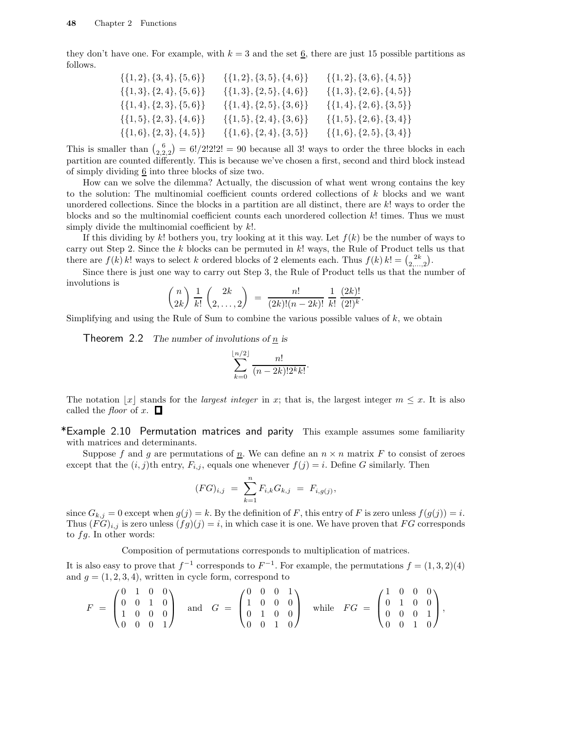they don't have one. For example, with  $k = 3$  and the set  $\underline{6}$ , there are just 15 possible partitions as follows.

| $\{\{1,2\},\{3,4\},\{5,6\}\}\$ | $\{\{1,2\},\{3,5\},\{4,6\}\}\$ | $\{\{1,2\},\{3,6\},\{4,5\}\}\$ |
|--------------------------------|--------------------------------|--------------------------------|
| $\{\{1,3\},\{2,4\},\{5,6\}\}\$ | $\{\{1,3\},\{2,5\},\{4,6\}\}\$ | $\{\{1,3\},\{2,6\},\{4,5\}\}\$ |
| $\{\{1,4\},\{2,3\},\{5,6\}\}\$ | $\{\{1,4\},\{2,5\},\{3,6\}\}\$ | $\{\{1,4\},\{2,6\},\{3,5\}\}\$ |
| $\{\{1,5\},\{2,3\},\{4,6\}\}\$ | $\{\{1,5\},\{2,4\},\{3,6\}\}\$ | $\{\{1,5\},\{2,6\},\{3,4\}\}\$ |
| $\{\{1,6\},\{2,3\},\{4,5\}\}\$ | $\{\{1,6\},\{2,4\},\{3,5\}\}\$ | $\{\{1,6\},\{2,5\},\{3,4\}\}\$ |
|                                |                                |                                |

This is smaller than  $\binom{6}{2,2,2} = 6!/2!2!2! = 90$  because all 3! ways to order the three blocks in each partition are counted differently. This is because we've chosen a first, second and third block instead of simply dividing  $6$  into three blocks of size two.

How can we solve the dilemma? Actually, the discussion of what went wrong contains the key to the solution: The multinomial coefficient counts ordered collections of k blocks and we want unordered collections. Since the blocks in a partition are all distinct, there are k! ways to order the blocks and so the multinomial coefficient counts each unordered collection  $k!$  times. Thus we must simply divide the multinomial coefficient by  $k!$ .

If this dividing by k! bothers you, try looking at it this way. Let  $f(k)$  be the number of ways to carry out Step 2. Since the  $k$  blocks can be permuted in  $k!$  ways, the Rule of Product tells us that there are  $f(k)$  k! ways to select k ordered blocks of 2 elements each. Thus  $f(k)$  k! =  $\binom{2k}{2,\dots,2}$ .

Since there is just one way to carry out Step 3, the Rule of Product tells us that the number of involutions is

$$
\binom{n}{2k} \frac{1}{k!} \binom{2k}{2, \ldots, 2} = \frac{n!}{(2k)!(n-2k)!} \frac{1}{k!} \frac{(2k)!}{(2!)^k}.
$$

Simplifying and using the Rule of Sum to combine the various possible values of  $k$ , we obtain

**Theorem 2.2** The number of involutions of  $\underline{n}$  is

$$
\sum_{k=0}^{\lfloor n/2 \rfloor} \frac{n!}{(n-2k)! 2^k k!}.
$$

The notation  $\lfloor x \rfloor$  stands for the *largest integer* in x; that is, the largest integer  $m \leq x$ . It is also called the *floor* of x.  $\Box$ 

\*Example 2.10 Permutation matrices and parity This example assumes some familiarity with matrices and determinants.

Suppose f and g are permutations of  $\underline{n}$ . We can define an  $n \times n$  matrix F to consist of zeroes except that the  $(i, j)$ th entry,  $F_{i,j}$ , equals one whenever  $f(j) = i$ . Define G similarly. Then

$$
(FG)_{i,j} = \sum_{k=1}^{n} F_{i,k} G_{k,j} = F_{i,g(j)},
$$

since  $G_{k,j} = 0$  except when  $g(j) = k$ . By the definition of F, this entry of F is zero unless  $f(g(j)) = i$ . Thus  $(FG)_{i,j}$  is zero unless  $(fg)(j) = i$ , in which case it is one. We have proven that FG corresponds to  $fg$ . In other words:

Composition of permutations corresponds to multiplication of matrices.

It is also easy to prove that  $f^{-1}$  corresponds to  $F^{-1}$ . For example, the permutations  $f = (1,3,2)(4)$ and  $g = (1, 2, 3, 4)$ , written in cycle form, correspond to

$$
F = \begin{pmatrix} 0 & 1 & 0 & 0 \\ 0 & 0 & 1 & 0 \\ 1 & 0 & 0 & 0 \\ 0 & 0 & 0 & 1 \end{pmatrix} \text{ and } G = \begin{pmatrix} 0 & 0 & 0 & 1 \\ 1 & 0 & 0 & 0 \\ 0 & 1 & 0 & 0 \\ 0 & 0 & 1 & 0 \end{pmatrix} \text{ while } FG = \begin{pmatrix} 1 & 0 & 0 & 0 \\ 0 & 1 & 0 & 0 \\ 0 & 0 & 0 & 1 \\ 0 & 0 & 1 & 0 \end{pmatrix},
$$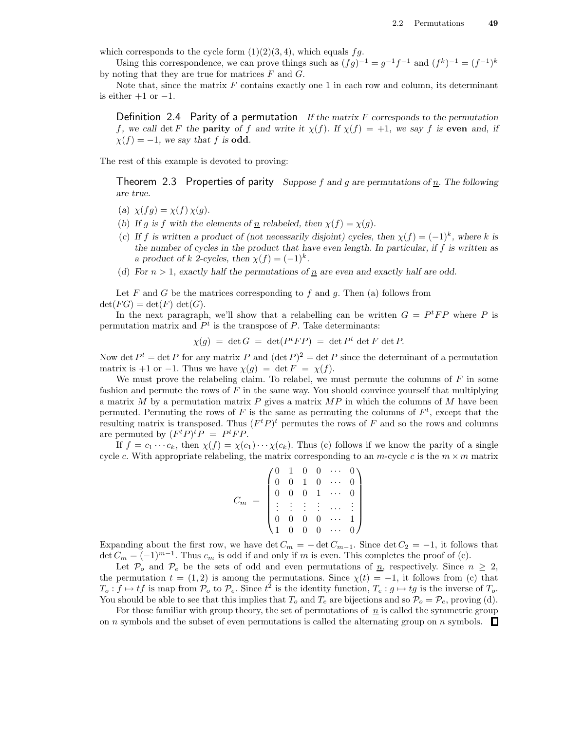which corresponds to the cycle form  $(1)(2)(3, 4)$ , which equals fg.

Using this correspondence, we can prove things such as  $(fg)^{-1} = g^{-1}f^{-1}$  and  $(f^k)^{-1} = (f^{-1})^k$ by noting that they are true for matrices  $F$  and  $G$ .

Note that, since the matrix  $F$  contains exactly one 1 in each row and column, its determinant is either  $+1$  or  $-1$ .

Definition 2.4 Parity of a permutation If the matrix  $F$  corresponds to the permutation f, we call det F the **parity** of f and write it  $\chi(f)$ . If  $\chi(f) = +1$ , we say f is **even** and, if  $\chi(f) = -1$ , we say that f is **odd**.

The rest of this example is devoted to proving:

Theorem 2.3 Properties of parity Suppose f and g are permutations of  $\underline{n}$ . The following are true.

- (a)  $\chi(fq) = \chi(f) \chi(q)$ .
- (b) If g is f with the elements of <u>n</u> relabeled, then  $\chi(f) = \chi(g)$ .
- (c) If f is written a product of (not necessarily disjoint) cycles, then  $\chi(f) = (-1)^k$ , where k is the number of cycles in the product that have even length. In particular, if  $f$  is written as a product of k 2-cycles, then  $\chi(f) = (-1)^k$ .
- (d) For  $n > 1$ , exactly half the permutations of  $n$  are even and exactly half are odd.

Let  $F$  and  $G$  be the matrices corresponding to  $f$  and  $g$ . Then (a) follows from  $\det(FG) = \det(F) \, \det(G).$ 

In the next paragraph, we'll show that a relabelling can be written  $G = P<sup>t</sup>FP$  where P is permutation matrix and  $P<sup>t</sup>$  is the transpose of P. Take determinants:

$$
\chi(g) = \det G = \det (P^t F P) = \det P^t \det F \det P.
$$

Now det  $P^t = \det P$  for any matrix P and  $(\det P)^2 = \det P$  since the determinant of a permutation matrix is +1 or −1. Thus we have  $\chi(q) = \det F = \chi(f)$ .

We must prove the relabeling claim. To relabel, we must permute the columns of  $F$  in some fashion and permute the rows of  $F$  in the same way. You should convince yourself that multiplying a matrix M by a permutation matrix P gives a matrix  $MP$  in which the columns of M have been permuted. Permuting the rows of F is the same as permuting the columns of  $F<sup>t</sup>$ , except that the resulting matrix is transposed. Thus  $(F<sup>t</sup>P)<sup>t</sup>$  permutes the rows of F and so the rows and columns are permuted by  $(F^t P)^t P = P^t F P$ .

If  $f = c_1 \cdots c_k$ , then  $\chi(f) = \chi(c_1) \cdots \chi(c_k)$ . Thus (c) follows if we know the parity of a single cycle c. With appropriate relabeling, the matrix corresponding to an m-cycle c is the  $m \times m$  matrix

|  |  |  | $\begin{array}{cccccc} 0 & 1 & 0 & 0 & \cdots \\ 0 & 0 & 1 & 0 & \cdots \\ 0 & 0 & 0 & 1 & \cdots \end{array}$                                           |  |
|--|--|--|----------------------------------------------------------------------------------------------------------------------------------------------------------|--|
|  |  |  | $\begin{array}{cccccc} & 0 & 0 & & & \\ & \vdots & \vdots & \vdots & \vdots & \\ & & 0 & 0 & \cdots & \\ & & & 0 & & \\ \end{array}$<br>. <del>.</del> 1 |  |
|  |  |  |                                                                                                                                                          |  |
|  |  |  |                                                                                                                                                          |  |

Expanding about the first row, we have det  $C_m = -\det C_{m-1}$ . Since  $\det C_2 = -1$ , it follows that det  $C_m = (-1)^{m-1}$ . Thus  $c_m$  is odd if and only if m is even. This completes the proof of (c).

Let  $\mathcal{P}_o$  and  $\mathcal{P}_e$  be the sets of odd and even permutations of  $\underline{n}$ , respectively. Since  $n \geq 2$ , the permutation  $t = (1, 2)$  is among the permutations. Since  $\chi(t) = -1$ , it follows from (c) that  $T_o: f \mapsto tf$  is map from  $\mathcal{P}_o$  to  $\mathcal{P}_e$ . Since  $t^2$  is the identity function,  $T_e: g \mapsto tg$  is the inverse of  $T_o$ . You should be able to see that this implies that  $T_o$  and  $T_e$  are bijections and so  $P_o = P_e$ , proving (d).

For those familiar with group theory, the set of permutations of  $n$  is called the symmetric group on *n* symbols and the subset of even permutations is called the alternating group on *n* symbols.  $\Box$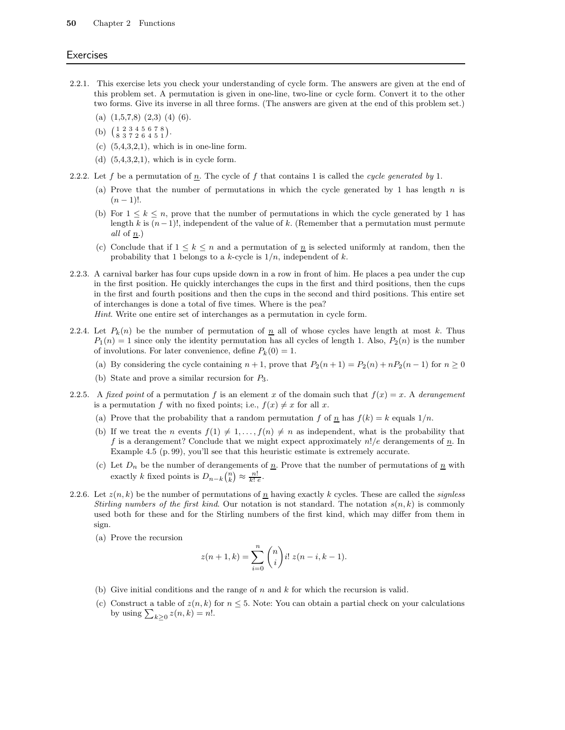#### **Exercises**

- 2.2.1. This exercise lets you check your understanding of cycle form. The answers are given at the end of this problem set. A permutation is given in one-line, two-line or cycle form. Convert it to the other two forms. Give its inverse in all three forms. (The answers are given at the end of this problem set.)
	- (a)  $(1,5,7,8)$   $(2,3)$   $(4)$   $(6)$ .
	- (b)  $\begin{pmatrix} 1 & 2 & 3 & 4 & 5 & 6 & 7 & 8 \\ 8 & 3 & 7 & 2 & 6 & 4 & 5 & 1 \end{pmatrix}$ .
	- (c)  $(5,4,3,2,1)$ , which is in one-line form.
	- (d)  $(5,4,3,2,1)$ , which is in cycle form.
- 2.2.2. Let f be a permutation of  $\underline{n}$ . The cycle of f that contains 1 is called the cycle generated by 1.
	- (a) Prove that the number of permutations in which the cycle generated by 1 has length  $n$  is  $(n-1)!$ .
	- (b) For  $1 \leq k \leq n$ , prove that the number of permutations in which the cycle generated by 1 has length k is  $(n-1)!$ , independent of the value of k. (Remember that a permutation must permute all of n.)
	- (c) Conclude that if  $1 \leq k \leq n$  and a permutation of  $\underline{n}$  is selected uniformly at random, then the probability that 1 belongs to a k-cycle is  $1/n$ , independent of k.
- 2.2.3. A carnival barker has four cups upside down in a row in front of him. He places a pea under the cup in the first position. He quickly interchanges the cups in the first and third positions, then the cups in the first and fourth positions and then the cups in the second and third positions. This entire set of interchanges is done a total of five times. Where is the pea?

Hint. Write one entire set of interchanges as a permutation in cycle form.

- 2.2.4. Let  $P_k(n)$  be the number of permutation of  $\overline{n}$  all of whose cycles have length at most k. Thus  $P_1(n) = 1$  since only the identity permutation has all cycles of length 1. Also,  $P_2(n)$  is the number of involutions. For later convenience, define  $P_k(0) = 1$ .
	- (a) By considering the cycle containing  $n + 1$ , prove that  $P_2(n+1) = P_2(n) + nP_2(n-1)$  for  $n \ge 0$
	- (b) State and prove a similar recursion for P3.
- 2.2.5. A fixed point of a permutation f is an element x of the domain such that  $f(x) = x$ . A derangement is a permutation f with no fixed points; i.e.,  $f(x) \neq x$  for all x.
	- (a) Prove that the probability that a random permutation f of  $\underline{n}$  has  $f(k) = k$  equals  $1/n$ .
	- (b) If we treat the n events  $f(1) \neq 1, \ldots, f(n) \neq n$  as independent, what is the probability that f is a derangement? Conclude that we might expect approximately  $n!/e$  derangements of  $\underline{n}$ . In Example 4.5 (p. 99), you'll see that this heuristic estimate is extremely accurate.
	- (c) Let  $D_n$  be the number of derangements of  $\underline{n}$ . Prove that the number of permutations of  $\underline{n}$  with exactly k fixed points is  $D_{n-k} {n \choose k} \approx \frac{n!}{k! e}$ .
- 2.2.6. Let  $z(n, k)$  be the number of permutations of  $\underline{n}$  having exactly k cycles. These are called the *signless* Stirling numbers of the first kind. Our notation is not standard. The notation  $s(n, k)$  is commonly used both for these and for the Stirling numbers of the first kind, which may differ from them in sign.
	- (a) Prove the recursion

$$
z(n+1,k) = \sum_{i=0}^{n} {n \choose i} i! \ z(n-i,k-1).
$$

- (b) Give initial conditions and the range of  $n$  and  $k$  for which the recursion is valid.
- (c) Construct a table of  $z(n, k)$  for  $n \leq 5$ . Note: You can obtain a partial check on your calculations by using  $\sum_{k\geq 0} z(n,k) = n!$ .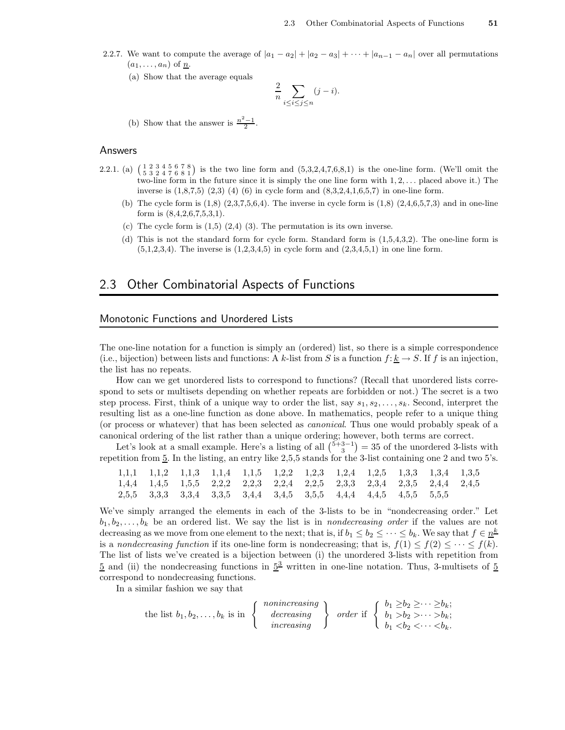- 2.2.7. We want to compute the average of  $|a_1 a_2| + |a_2 a_3| + \cdots + |a_{n-1} a_n|$  over all permutations  $(a_1, \ldots, a_n)$  of  $\underline{n}$ .
	- (a) Show that the average equals

$$
\frac{2}{n} \sum_{i \le i \le j \le n} (j - i).
$$

(b) Show that the answer is  $\frac{n^2-1}{2}$ .

#### Answers

- 2.2.1. (a)  $\begin{pmatrix} 1 & 2 & 3 & 4 & 5 & 6 & 7 & 8 \\ 5 & 3 & 2 & 4 & 7 & 6 & 8 & 1 \end{pmatrix}$  is the two line form and  $(5,3,2,4,7,6,8,1)$  is the one-line form. (We'll omit the two-line form in the future since it is simply the one line form with  $1, 2, \ldots$  placed above it.) The inverse is  $(1,8,7,5)$   $(2,3)$   $(4)$   $(6)$  in cycle form and  $(8,3,2,4,1,6,5,7)$  in one-line form.
	- (b) The cycle form is  $(1,8)$   $(2,3,7,5,6,4)$ . The inverse in cycle form is  $(1,8)$   $(2,4,6,5,7,3)$  and in one-line form is (8,4,2,6,7,5,3,1).
	- (c) The cycle form is  $(1,5)$   $(2,4)$   $(3)$ . The permutation is its own inverse.
	- (d) This is not the standard form for cycle form. Standard form is (1,5,4,3,2). The one-line form is  $(5,1,2,3,4)$ . The inverse is  $(1,2,3,4,5)$  in cycle form and  $(2,3,4,5,1)$  in one line form.

## 2.3 Other Combinatorial Aspects of Functions

#### Monotonic Functions and Unordered Lists

The one-line notation for a function is simply an (ordered) list, so there is a simple correspondence (i.e., bijection) between lists and functions: A k-list from S is a function  $f: \underline{k} \to S$ . If f is an injection, the list has no repeats.

How can we get unordered lists to correspond to functions? (Recall that unordered lists correspond to sets or multisets depending on whether repeats are forbidden or not.) The secret is a two step process. First, think of a unique way to order the list, say  $s_1, s_2, \ldots, s_k$ . Second, interpret the resulting list as a one-line function as done above. In mathematics, people refer to a unique thing (or process or whatever) that has been selected as canonical. Thus one would probably speak of a canonical ordering of the list rather than a unique ordering; however, both terms are correct.

Let's look at a small example. Here's a listing of all  $\binom{5+3-1}{3} = 35$  of the unordered 3-lists with repetition from 5. In the listing, an entry like 2,5,5 stands for the 3-list containing one 2 and two 5's.

|  |  |  | $1,1,1$ $1,1,2$ $1,1,3$ $1,1,4$ $1,1,5$ $1,2,2$ $1,2,3$ $1,2,4$ $1,2,5$ $1,3,3$ $1,3,4$ $1,3,5$ |  |  |  |
|--|--|--|-------------------------------------------------------------------------------------------------|--|--|--|
|  |  |  | $1,4,4$ $1,4,5$ $1,5,5$ $2,2,2$ $2,2,3$ $2,2,4$ $2,2,5$ $2,3,3$ $2,3,4$ $2,3,5$ $2,4,4$ $2,4,5$ |  |  |  |
|  |  |  | 2,5,5 3,3,3 3,3,4 3,3,5 3,4,4 3,4,5 3,5,5 4,4,4 4,4,5 4,5,5 5,5,5                               |  |  |  |

We've simply arranged the elements in each of the 3-lists to be in "nondecreasing order." Let  $b_1, b_2, \ldots, b_k$  be an ordered list. We say the list is in *nondecreasing order* if the values are not decreasing as we move from one element to the next; that is, if  $b_1 \leq b_2 \leq \cdots \leq b_k$ . We say that  $f \in \underline{n^k}$ is a nondecreasing function if its one-line form is nondecreasing; that is,  $f(1) \leq f(2) \leq \cdots \leq f(k)$ . The list of lists we've created is a bijection between (i) the unordered 3-lists with repetition from  $\frac{5}{2}$  and (ii) the nondecreasing functions in  $\frac{5^3}{2}$  written in one-line notation. Thus, 3-multisets of  $\frac{5}{2}$ correspond to nondecreasing functions.

In a similar fashion we say that

the list 
$$
b_1, b_2, ..., b_k
$$
 is in  $\left\{\begin{array}{c} \text{nonincreasing} \\ \text{decreasing} \\ \text{increasing} \end{array}\right\}$  order if  $\left\{\begin{array}{c} b_1 \geq b_2 \geq \cdots \geq b_k; \\ b_1 > b_2 > \cdots > b_k; \\ b_1 < b_2 < \cdots < b_k. \end{array}\right\}$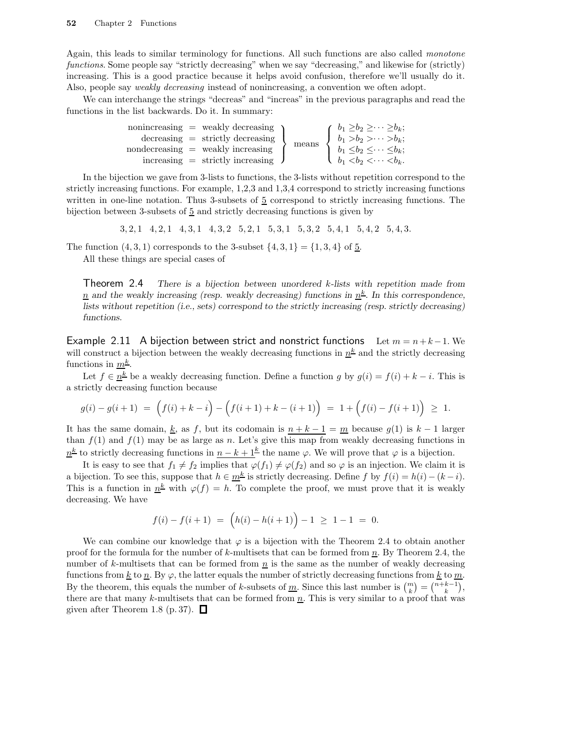Again, this leads to similar terminology for functions. All such functions are also called monotone functions. Some people say "strictly decreasing" when we say "decreasing," and likewise for (strictly) increasing. This is a good practice because it helps avoid confusion, therefore we'll usually do it. Also, people say weakly decreasing instead of nonincreasing, a convention we often adopt.

We can interchange the strings "decreas" and "increas" in the previous paragraphs and read the functions in the list backwards. Do it. In summary:

|  | $nonincreasing = weakly decreasing$               |       | $\int b_1 \geq b_2 \geq \cdots \geq b_k;$ |
|--|---------------------------------------------------|-------|-------------------------------------------|
|  | $\alpha$ decreasing $=$ strictly decreasing       | means | $\int b_1 > b_2 > \cdots > b_k;$          |
|  | $\text{nondecreasing} = \text{weakly increasing}$ |       | $b_1 \leq b_2 \leq \cdots \leq b_k;$      |
|  | $increasing =$ strictly increasing $\bigcup$      |       | $b_1 < b_2 < \cdots < b_k$ .              |

In the bijection we gave from 3-lists to functions, the 3-lists without repetition correspond to the strictly increasing functions. For example, 1,2,3 and 1,3,4 correspond to strictly increasing functions written in one-line notation. Thus 3-subsets of  $5$  correspond to strictly increasing functions. The bijection between 3-subsets of  $\frac{5}{2}$  and strictly decreasing functions is given by

3, 2, 1 4, 2, 1 4, 3, 1 4, 3, 2 5, 2, 1 5, 3, 1 5, 3, 2 5, 4, 1 5, 4, 2 5, 4, 3.

The function  $(4, 3, 1)$  corresponds to the 3-subset  $\{4, 3, 1\} = \{1, 3, 4\}$  of 5.

All these things are special cases of

**Theorem 2.4** There is a bijection between unordered k-lists with repetition made from  $\overline{n}$  and the weakly increasing (resp. weakly decreasing) functions in  $\underline{n}^{\underline{k}}$ . In this correspondence, lists without repetition (i.e., sets) correspond to the strictly increasing (resp. strictly decreasing) functions.

Example 2.11 A bijection between strict and nonstrict functions Let  $m = n + k - 1$ . We will construct a bijection between the weakly decreasing functions in  $\underline{n}^{\underline{k}}$  and the strictly decreasing functions in  $m^{\underline{k}}$ .

Let  $f \in \underline{n}^{\underline{k}}$  be a weakly decreasing function. Define a function g by  $g(i) = f(i) + k - i$ . This is a strictly decreasing function because

$$
g(i) - g(i+1) = (f(i) + k - i) - (f(i+1) + k - (i+1)) = 1 + (f(i) - f(i+1)) \ge 1.
$$

It has the same domain, k, as f, but its codomain is  $n + k - 1 = m$  because  $g(1)$  is  $k - 1$  larger than  $f(1)$  and  $f(1)$  may be as large as n. Let's give this map from weakly decreasing functions in  $n^{\underline{k}}$  to strictly decreasing functions in  $n - k + 1^{\underline{k}}$  the name  $\varphi$ . We will prove that  $\varphi$  is a bijection.

It is easy to see that  $f_1 \neq f_2$  implies that  $\varphi(f_1) \neq \varphi(f_2)$  and so  $\varphi$  is an injection. We claim it is a bijection. To see this, suppose that  $h \in \underline{m^k}$  is strictly decreasing. Define f by  $f(i) = h(i) - (k - i)$ . This is a function in  $n^k$  with  $\varphi(f) = h$ . To complete the proof, we must prove that it is weakly decreasing. We have

$$
f(i) - f(i+1) = (h(i) - h(i+1)) - 1 \ge 1 - 1 = 0.
$$

We can combine our knowledge that  $\varphi$  is a bijection with the Theorem 2.4 to obtain another proof for the formula for the number of k-multisets that can be formed from  $\underline{n}$ . By Theorem 2.4, the number of k-multisets that can be formed from  $n$  is the same as the number of weakly decreasing functions from  $\underline{k}$  to  $\underline{n}$ . By  $\varphi$ , the latter equals the number of strictly decreasing functions from  $\underline{k}$  to  $\underline{m}$ . By the theorem, this equals the number of k-subsets of <u>m</u>. Since this last number is  $\binom{m}{k} = \binom{n+k-1}{k}$ , there are that many k-multisets that can be formed from  $\underline{n}$ . This is very similar to a proof that was given after Theorem 1.8 (p. 37).  $\Box$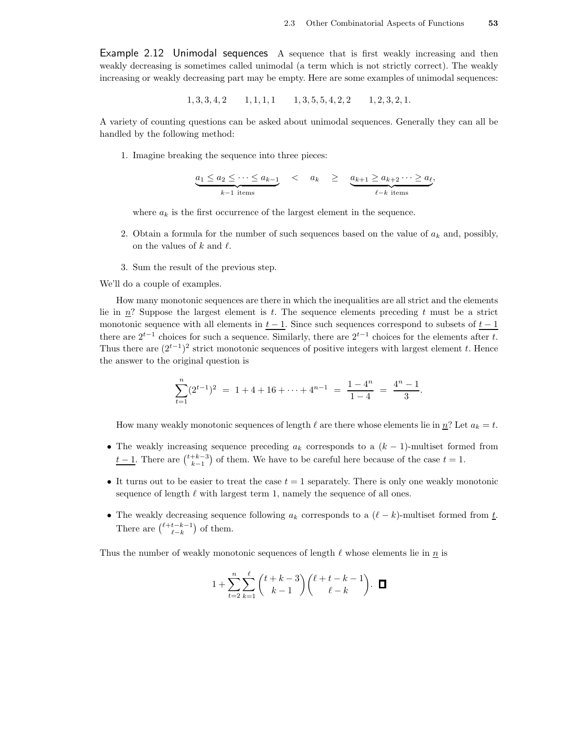Example 2.12 Unimodal sequences A sequence that is first weakly increasing and then weakly decreasing is sometimes called unimodal (a term which is not strictly correct). The weakly increasing or weakly decreasing part may be empty. Here are some examples of unimodal sequences:

$$
1, 3, 3, 4, 2 \qquad 1, 1, 1, 1 \qquad 1, 3, 5, 5, 4, 2, 2 \qquad 1, 2, 3, 2, 1.
$$

A variety of counting questions can be asked about unimodal sequences. Generally they can all be handled by the following method:

1. Imagine breaking the sequence into three pieces:

$$
\underbrace{a_1 \le a_2 \le \cdots \le a_{k-1}}_{k-1 \text{ items}} < a_k \ge \underbrace{a_{k+1} \ge a_{k+2} \cdots \ge a_{\ell}}_{\ell-k \text{ items}},
$$

where  $a_k$  is the first occurrence of the largest element in the sequence.

- 2. Obtain a formula for the number of such sequences based on the value of  $a_k$  and, possibly, on the values of k and  $\ell$ .
- 3. Sum the result of the previous step.

We'll do a couple of examples.

How many monotonic sequences are there in which the inequalities are all strict and the elements lie in  $n$ ? Suppose the largest element is t. The sequence elements preceding t must be a strict monotonic sequence with all elements in  $t - 1$ . Since such sequences correspond to subsets of  $t - 1$ there are  $2^{t-1}$  choices for such a sequence. Similarly, there are  $2^{t-1}$  choices for the elements after t. Thus there are  $(2^{t-1})^2$  strict monotonic sequences of positive integers with largest element t. Hence the answer to the original question is

$$
\sum_{t=1}^{n} (2^{t-1})^2 = 1 + 4 + 16 + \dots + 4^{n-1} = \frac{1-4^n}{1-4} = \frac{4^n-1}{3}.
$$

How many weakly monotonic sequences of length  $\ell$  are there whose elements lie in  $\underline{n}$ ? Let  $a_k = t$ .

- The weakly increasing sequence preceding  $a_k$  corresponds to a  $(k-1)$ -multiset formed from  $t-1$ . There are  $\binom{t+k-3}{k-1}$  of them. We have to be careful here because of the case  $t = 1$ .
- It turns out to be easier to treat the case  $t = 1$  separately. There is only one weakly monotonic sequence of length  $\ell$  with largest term 1, namely the sequence of all ones.
- The weakly decreasing sequence following  $a_k$  corresponds to a  $(\ell k)$ -multiset formed from t. There are  $\binom{\ell+t-k-1}{\ell-k}$  of them.

Thus the number of weakly monotonic sequences of length  $\ell$  whose elements lie in  $\underline{n}$  is

$$
1 + \sum_{t=2}^{n} \sum_{k=1}^{\ell} {t+k-3 \choose k-1} { \ell + t-k-1 \choose \ell-k }.\quad \blacksquare
$$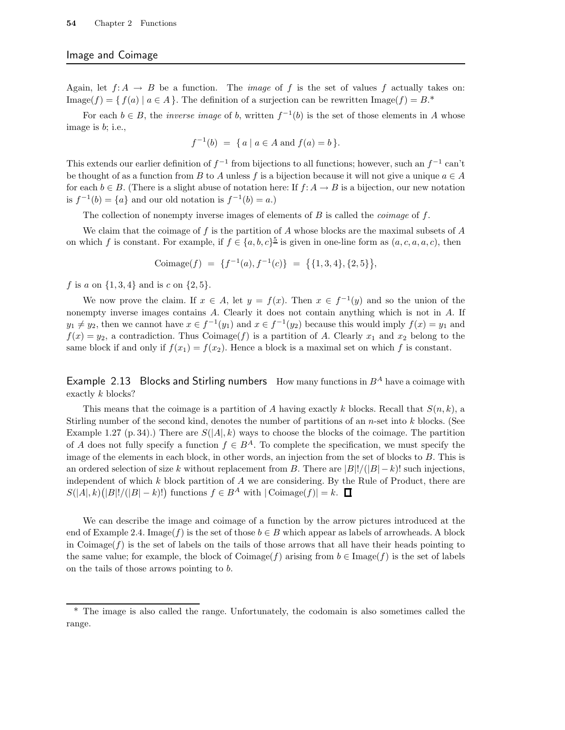#### Image and Coimage

Again, let  $f: A \to B$  be a function. The *image* of f is the set of values f actually takes on: Image(f) = { $f(a) | a \in A$ }. The definition of a surjection can be rewritten Image(f) = B.\*

For each  $b \in B$ , the *inverse image* of b, written  $f^{-1}(b)$  is the set of those elements in A whose image is b; i.e.,

$$
f^{-1}(b) = \{ a \mid a \in A \text{ and } f(a) = b \}.
$$

This extends our earlier definition of  $f^{-1}$  from bijections to all functions; however, such an  $f^{-1}$  can't be thought of as a function from B to A unless f is a bijection because it will not give a unique  $a \in A$ for each  $b \in B$ . (There is a slight abuse of notation here: If  $f: A \to B$  is a bijection, our new notation is  $f^{-1}(b) = \{a\}$  and our old notation is  $f^{-1}(b) = a$ .)

The collection of nonempty inverse images of elements of  $B$  is called the *coimage* of  $f$ .

We claim that the coimage of f is the partition of A whose blocks are the maximal subsets of A on which f is constant. For example, if  $f \in \{a, b, c\}^{\frac{5}{2}}$  is given in one-line form as  $(a, c, a, a, c)$ , then

$$
Coimage(f) = \{f^{-1}(a), f^{-1}(c)\} = \{\{1, 3, 4\}, \{2, 5\}\},\
$$

f is a on  $\{1,3,4\}$  and is c on  $\{2,5\}$ .

We now prove the claim. If  $x \in A$ , let  $y = f(x)$ . Then  $x \in f^{-1}(y)$  and so the union of the nonempty inverse images contains A. Clearly it does not contain anything which is not in A. If  $y_1 \neq y_2$ , then we cannot have  $x \in f^{-1}(y_1)$  and  $x \in f^{-1}(y_2)$  because this would imply  $f(x) = y_1$  and  $f(x) = y_2$ , a contradiction. Thus Coimage(f) is a partition of A. Clearly  $x_1$  and  $x_2$  belong to the same block if and only if  $f(x_1) = f(x_2)$ . Hence a block is a maximal set on which f is constant.

Example 2.13 Blocks and Stirling numbers How many functions in  $B^A$  have a coimage with exactly k blocks?

This means that the coimage is a partition of A having exactly k blocks. Recall that  $S(n, k)$ , a Stirling number of the second kind, denotes the number of partitions of an  $n$ -set into  $k$  blocks. (See Example 1.27 (p. 34).) There are  $S(|A|, k)$  ways to choose the blocks of the coimage. The partition of A does not fully specify a function  $f \in B^A$ . To complete the specification, we must specify the image of the elements in each block, in other words, an injection from the set of blocks to B. This is an ordered selection of size k without replacement from B. There are  $|B|!/(|B|-k)!$  such injections, independent of which  $k$  block partition of  $A$  we are considering. By the Rule of Product, there are  $S(|A|, k)(|B|!/(|B| - k)!)$  functions  $f \in B^A$  with  $| \text{Coimage}(f) | = k$ .

We can describe the image and coimage of a function by the arrow pictures introduced at the end of Example 2.4. Image(f) is the set of those  $b \in B$  which appear as labels of arrowheads. A block in Coimage( $f$ ) is the set of labels on the tails of those arrows that all have their heads pointing to the same value; for example, the block of Coimage(f) arising from  $b \in \text{Image}(f)$  is the set of labels on the tails of those arrows pointing to b.

<sup>\*</sup> The image is also called the range. Unfortunately, the codomain is also sometimes called the range.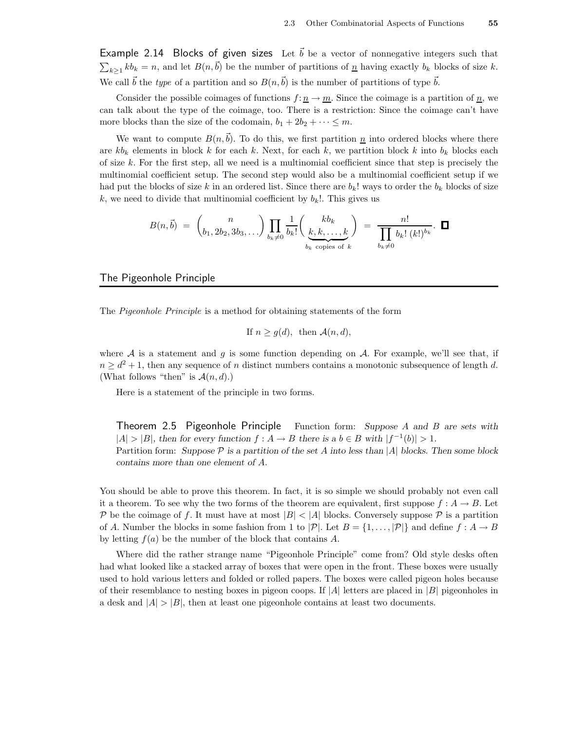Example 2.14 Blocks of given sizes Let  $\vec{b}$  be a vector of nonnegative integers such that  $\sum_{k\geq 1} kb_k = n$ , and let  $B(n,\vec{b})$  be the number of partitions of  $\underline{n}$  having exactly  $b_k$  blocks of size k. We call  $\vec{b}$  the type of a partition and so  $B(n,\vec{b})$  is the number of partitions of type  $\vec{b}$ .

Consider the possible coimages of functions  $f: n \to m$ . Since the coimage is a partition of n, we can talk about the type of the coimage, too. There is a restriction: Since the coimage can't have more blocks than the size of the codomain,  $b_1 + 2b_2 + \cdots \leq m$ .

We want to compute  $B(n,b)$ . To do this, we first partition  $n$  into ordered blocks where there are  $kb_k$  elements in block k for each k. Next, for each k, we partition block k into  $b_k$  blocks each of size  $k$ . For the first step, all we need is a multinomial coefficient since that step is precisely the multinomial coefficient setup. The second step would also be a multinomial coefficient setup if we had put the blocks of size k in an ordered list. Since there are  $b_k!$  ways to order the  $b_k$  blocks of size k, we need to divide that multinomial coefficient by  $b_k$ !. This gives us

$$
B(n, \vec{b}) = {n \choose b_1, 2b_2, 3b_3, \ldots} \prod_{b_k \neq 0} \frac{1}{b_k!} {k b_k \choose \underbrace{k, k, \ldots, k}_{b_k \text{ copies of } k}} = \frac{n!}{\prod_{b_k \neq 0} b_k! (k!)^{b_k}}. \quad \Box
$$

#### The Pigeonhole Principle

The Pigeonhole Principle is a method for obtaining statements of the form

If 
$$
n \geq g(d)
$$
, then  $\mathcal{A}(n, d)$ ,

where  $A$  is a statement and g is some function depending on  $A$ . For example, we'll see that, if  $n \geq d^2 + 1$ , then any sequence of n distinct numbers contains a monotonic subsequence of length d. (What follows "then" is  $\mathcal{A}(n, d)$ .)

Here is a statement of the principle in two forms.

Theorem 2.5 Pigeonhole Principle Function form: Suppose A and B are sets with  $|A| > |B|$ , then for every function  $f : A \to B$  there is a  $b \in B$  with  $|f^{-1}(b)| > 1$ . Partition form: Suppose  $P$  is a partition of the set A into less than |A| blocks. Then some block contains more than one element of A.

You should be able to prove this theorem. In fact, it is so simple we should probably not even call it a theorem. To see why the two forms of the theorem are equivalent, first suppose  $f : A \to B$ . Let P be the coimage of f. It must have at most  $|B| < |A|$  blocks. Conversely suppose P is a partition of A. Number the blocks in some fashion from 1 to  $|\mathcal{P}|$ . Let  $B = \{1, \ldots, |\mathcal{P}|\}$  and define  $f : A \to B$ by letting  $f(a)$  be the number of the block that contains A.

Where did the rather strange name "Pigeonhole Principle" come from? Old style desks often had what looked like a stacked array of boxes that were open in the front. These boxes were usually used to hold various letters and folded or rolled papers. The boxes were called pigeon holes because of their resemblance to nesting boxes in pigeon coops. If  $|A|$  letters are placed in  $|B|$  pigeonholes in a desk and  $|A| > |B|$ , then at least one pigeonhole contains at least two documents.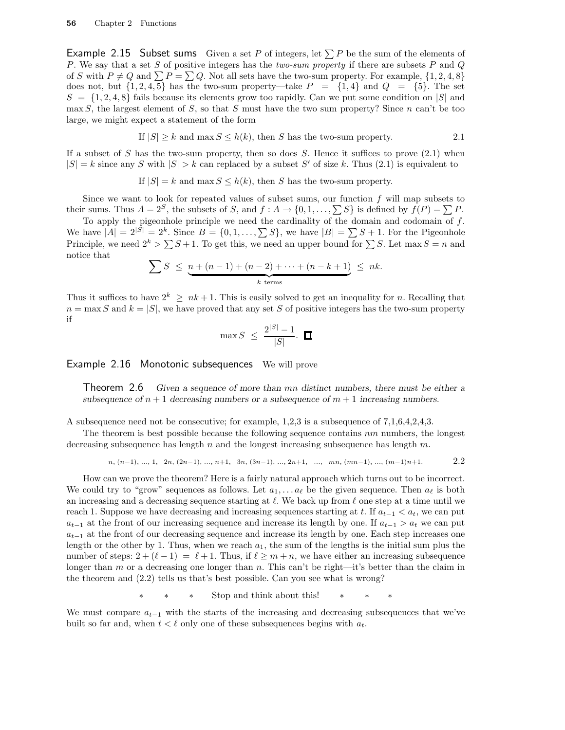**Example 2.15 Subset sums** Given a set P of integers, let  $\sum P$  be the sum of the elements of P. We say that a set S of positive integers has the two-sum property if there are subsets  $P$  and  $Q$ of S with  $P \neq Q$  and  $\sum P = \sum Q$ . Not all sets have the two-sum property. For example,  $\{1, 2, 4, 8\}$ does not, but  $\{1, 2, 4, 5\}$  has the two-sum property—take  $P = \{1, 4\}$  and  $Q = \{5\}$ . The set  $S = \{1, 2, 4, 8\}$  fails because its elements grow too rapidly. Can we put some condition on  $|S|$  and max S, the largest element of S, so that S must have the two sum property? Since n can't be too large, we might expect a statement of the form

If 
$$
|S| \ge k
$$
 and  $\max S \le h(k)$ , then S has the two-sum property.

If a subset of S has the two-sum property, then so does S. Hence it suffices to prove  $(2.1)$  when  $|S| = k$  since any S with  $|S| > k$  can replaced by a subset S' of size k. Thus (2.1) is equivalent to

If 
$$
|S| = k
$$
 and  $\max S \le h(k)$ , then S has the two-sum property.

Since we want to look for repeated values of subset sums, our function  $f$  will map subsets to their sums. Thus  $A = 2^S$ , the subsets of S, and  $f : A \to \{0, 1, \ldots, \sum S\}$  is defined by  $f(P) = \sum P$ .

To apply the pigeonhole principle we need the cardinality of the domain and codomain of  $f$ . We have  $|A| = 2^{|S|} = 2^k$ . Since  $B = \{0, 1, \ldots, \sum S\}$ , we have  $|B| = \sum S + 1$ . For the Pigeonhole Principle, we need  $2^k > \sum S + 1$ . To get this, we need an upper bound for  $\sum S$ . Let max  $S = n$  and notice that

$$
\sum S \leq \underbrace{n + (n-1) + (n-2) + \cdots + (n-k+1)}_{k \text{ terms}} \leq nk.
$$

Thus it suffices to have  $2^k \geq nk+1$ . This is easily solved to get an inequality for n. Recalling that  $n = \max S$  and  $k = |S|$ , we have proved that any set S of positive integers has the two-sum property if

$$
\max S \ \leq \ \frac{2^{|S|} - 1}{|S|} . \ \ \blacksquare
$$

Example 2.16 Monotonic subsequences We will prove

Theorem 2.6 Given a sequence of more than mn distinct numbers, there must be either a subsequence of  $n + 1$  decreasing numbers or a subsequence of  $m + 1$  increasing numbers.

A subsequence need not be consecutive; for example, 1,2,3 is a subsequence of 7,1,6,4,2,4,3.

The theorem is best possible because the following sequence contains  $nm$  numbers, the longest decreasing subsequence has length  $n$  and the longest increasing subsequence has length  $m$ .

$$
n, (n-1), ..., 1, 2n, (2n-1), ..., n+1, 3n, (3n-1), ..., 2n+1, ..., mn, (mn-1), ..., (m-1)n+1.
$$

How can we prove the theorem? Here is a fairly natural approach which turns out to be incorrect. We could try to "grow" sequences as follows. Let  $a_1, \ldots, a_\ell$  be the given sequence. Then  $a_\ell$  is both an increasing and a decreasing sequence starting at  $\ell$ . We back up from  $\ell$  one step at a time until we reach 1. Suppose we have decreasing and increasing sequences starting at t. If  $a_{t-1} < a_t$ , we can put  $a_{t-1}$  at the front of our increasing sequence and increase its length by one. If  $a_{t-1} > a_t$  we can put  $a_{t-1}$  at the front of our decreasing sequence and increase its length by one. Each step increases one length or the other by 1. Thus, when we reach  $a_1$ , the sum of the lengths is the initial sum plus the number of steps:  $2 + (\ell - 1) = \ell + 1$ . Thus, if  $\ell \geq m + n$ , we have either an increasing subsequence longer than m or a decreasing one longer than n. This can't be right—it's better than the claim in the theorem and (2.2) tells us that's best possible. Can you see what is wrong?

∗ ∗ ∗ Stop and think about this! ∗ ∗ ∗

We must compare  $a_{t-1}$  with the starts of the increasing and decreasing subsequences that we've built so far and, when  $t < \ell$  only one of these subsequences begins with  $a_t$ .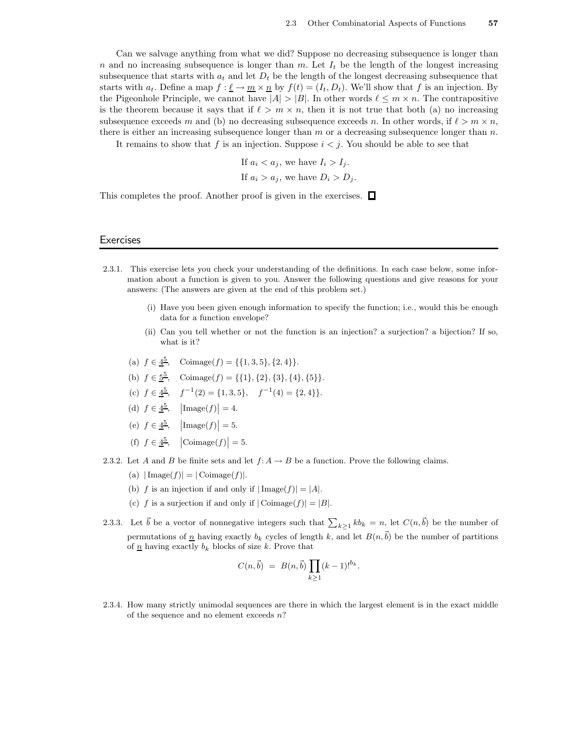Can we salvage anything from what we did? Suppose no decreasing subsequence is longer than n and no increasing subsequence is longer than m. Let  $I_t$  be the length of the longest increasing subsequence that starts with  $a_t$  and let  $D_t$  be the length of the longest decreasing subsequence that starts with  $a_t$ . Define a map  $f : \underline{\ell} \to \underline{m} \times \underline{n}$  by  $f(t) = (I_t, D_t)$ . We'll show that f is an injection. By the Pigeonhole Principle, we cannot have  $|A| > |B|$ . In other words  $\ell \leq m \times n$ . The contrapositive is the theorem because it says that if  $\ell > m \times n$ , then it is not true that both (a) no increasing subsequence exceeds m and (b) no decreasing subsequence exceeds n. In other words, if  $\ell > m \times n$ , there is either an increasing subsequence longer than  $m$  or a decreasing subsequence longer than  $n$ .

It remains to show that f is an injection. Suppose  $i < j$ . You should be able to see that

If  $a_i < a_j$ , we have  $I_i > I_j$ .

If 
$$
a_i > a_j
$$
, we have  $D_i > D_j$ .

This completes the proof. Another proof is given in the exercises.  $\Box$ 

#### **Exercises**

- 2.3.1. This exercise lets you check your understanding of the definitions. In each case below, some information about a function is given to you. Answer the following questions and give reasons for your answers: (The answers are given at the end of this problem set.)
	- (i) Have you been given enough information to specify the function; i.e., would this be enough data for a function envelope?
	- (ii) Can you tell whether or not the function is an injection? a surjection? a bijection? If so, what is it?
	- (a)  $f \in \underline{4^5}$ , Coimage $(f) = \{\{1, 3, 5\}, \{2, 4\}\}.$
	- (b)  $f \in \underline{5^5}$ , Coimage(f) = {{1}, {2}, {3}, {4}, {5}}.
	- (c)  $f \in \underline{4^5}$ ,  $f^{-1}(2) = \{1, 3, 5\}$ ,  $f^{-1}(4) = \{2, 4\}$ .
	- (d)  $f \in \frac{4^5}{\,}$ ,  $\left| \text{Image}(f) \right| = 4$ .
	- (e)  $f \in \underline{4^5}$ ,  $\left| \text{Image}(f) \right| = 5$ .
	- (f)  $f \in \underline{4^5}$ ,  $|\text{Coimage}(f)| = 5$ .
- 2.3.2. Let A and B be finite sets and let  $f: A \to B$  be a function. Prove the following claims.
	- (a)  $|\text{Image}(f)| = |\text{Coimage}(f)|$ .
	- (b) f is an injection if and only if  $|\text{Image}(f)| = |A|$ .
	- (c) f is a surjection if and only if  $|\text{Coimage}(f)| = |B|$ .
- 2.3.3. Let  $\vec{b}$  be a vector of nonnegative integers such that  $\sum_{k\geq 1} kb_k = n$ , let  $C(n,\vec{b})$  be the number of permutations of  $\underline{n}$  having exactly  $b_k$  cycles of length k, and let  $B(n,\vec{b})$  be the number of partitions of  $\underline{n}$  having exactly  $b_k$  blocks of size k. Prove that

$$
C(n, \vec{b}) = B(n, \vec{b}) \prod_{k \ge 1} (k-1)!^{b_k}.
$$

2.3.4. How many strictly unimodal sequences are there in which the largest element is in the exact middle of the sequence and no element exceeds  $n$ ?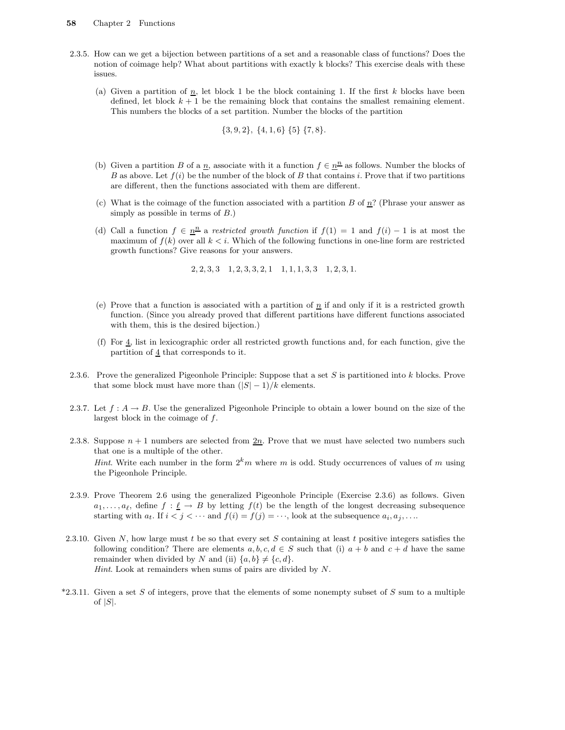- 2.3.5. How can we get a bijection between partitions of a set and a reasonable class of functions? Does the notion of coimage help? What about partitions with exactly k blocks? This exercise deals with these issues.
	- (a) Given a partition of  $\underline{n}$ , let block 1 be the block containing 1. If the first k blocks have been defined, let block  $k + 1$  be the remaining block that contains the smallest remaining element. This numbers the blocks of a set partition. Number the blocks of the partition

$$
{3, 9, 2}, {4, 1, 6} {5} {7, 8}.
$$

- (b) Given a partition B of a  $\underline{n}$ , associate with it a function  $f \in \underline{n}^{\underline{n}}$  as follows. Number the blocks of B as above. Let  $f(i)$  be the number of the block of B that contains i. Prove that if two partitions are different, then the functions associated with them are different.
- (c) What is the coimage of the function associated with a partition B of  $n$ ? (Phrase your answer as simply as possible in terms of  $B$ .)
- (d) Call a function  $f \in \underline{n}^n$  a restricted growth function if  $f(1) = 1$  and  $f(i) 1$  is at most the maximum of  $f(k)$  over all  $k \lt i$ . Which of the following functions in one-line form are restricted growth functions? Give reasons for your answers.

 $2, 2, 3, 3$   $1, 2, 3, 3, 2, 1$   $1, 1, 1, 3, 3$   $1, 2, 3, 1.$ 

- (e) Prove that a function is associated with a partition of  $\underline{n}$  if and only if it is a restricted growth function. (Since you already proved that different partitions have different functions associated with them, this is the desired bijection.)
- (f) For  $\underline{4}$ , list in lexicographic order all restricted growth functions and, for each function, give the partition of 4 that corresponds to it.
- 2.3.6. Prove the generalized Pigeonhole Principle: Suppose that a set  $S$  is partitioned into  $k$  blocks. Prove that some block must have more than  $(|S| - 1)/k$  elements.
- 2.3.7. Let  $f: A \to B$ . Use the generalized Pigeonhole Principle to obtain a lower bound on the size of the largest block in the coimage of f.
- 2.3.8. Suppose  $n + 1$  numbers are selected from  $2n$ . Prove that we must have selected two numbers such that one is a multiple of the other. *Hint.* Write each number in the form  $2<sup>k</sup>m$  where m is odd. Study occurrences of values of m using the Pigeonhole Principle.
- 2.3.9. Prove Theorem 2.6 using the generalized Pigeonhole Principle (Exercise 2.3.6) as follows. Given  $a_1, \ldots, a_\ell$ , define  $f : \underline{\ell} \to B$  by letting  $f(t)$  be the length of the longest decreasing subsequence starting with  $a_t$ . If  $i < j < \cdots$  and  $f(i) = f(j) = \cdots$ , look at the subsequence  $a_i, a_j, \ldots$
- 2.3.10. Given  $N$ , how large must  $t$  be so that every set  $S$  containing at least  $t$  positive integers satisfies the following condition? There are elements  $a, b, c, d \in S$  such that (i)  $a + b$  and  $c + d$  have the same remainder when divided by N and (ii)  $\{a, b\} \neq \{c, d\}.$ Hint. Look at remainders when sums of pairs are divided by N.
- $*2.3.11.$  Given a set S of integers, prove that the elements of some nonempty subset of S sum to a multiple of  $|S|$ .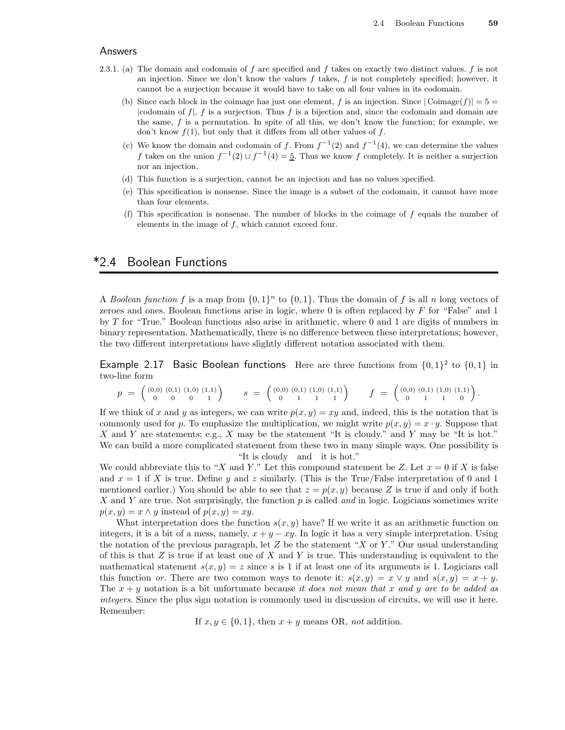#### Answers

- 2.3.1. (a) The domain and codomain of f are specified and f takes on exactly two distinct values. f is not an injection. Since we don't know the values  $f$  takes,  $f$  is not completely specified; however, it cannot be a surjection because it would have to take on all four values in its codomain.
	- (b) Since each block in the coimage has just one element, f is an injection. Since  $|\text{Coimage}(f)| = 5$ |codomain of  $f$ |,  $f$  is a surjection. Thus  $f$  is a bijection and, since the codomain and domain are the same,  $f$  is a permutation. In spite of all this, we don't know the function; for example, we don't know  $f(1)$ , but only that it differs from all other values of  $f$ .
	- (c) We know the domain and codomain of f. From  $f^{-1}(2)$  and  $f^{-1}(4)$ , we can determine the values f takes on the union  $f^{-1}(2) \cup f^{-1}(4) = 5$ . Thus we know f completely. It is neither a surjection nor an injection.
	- (d) This function is a surjection, cannot be an injection and has no values specified.
	- (e) This specification is nonsense. Since the image is a subset of the codomain, it cannot have more than four elements.
	- (f) This specification is nonsense. The number of blocks in the coimage of  $f$  equals the number of elements in the image of  $f$ , which cannot exceed four.

## \*2.4 Boolean Functions

A Boolean function f is a map from  $\{0,1\}^n$  to  $\{0,1\}$ . Thus the domain of f is all n long vectors of zeroes and ones. Boolean functions arise in logic, where 0 is often replaced by F for "False" and 1 by T for "True." Boolean functions also arise in arithmetic, where 0 and 1 are digits of numbers in binary representation. Mathematically, there is no difference between these interpretations; however, the two different interpretations have slightly different notation associated with them.

Example 2.17 Basic Boolean functions Here are three functions from  $\{0,1\}^2$  to  $\{0,1\}$  in two-line form

$$
p = \begin{pmatrix} (0,0) & (0,1) & (1,0) & (1,1) \\ 0 & 0 & 0 & 1 \end{pmatrix} \qquad s = \begin{pmatrix} (0,0) & (0,1) & (1,0) & (1,1) \\ 0 & 1 & 1 & 1 \end{pmatrix} \qquad f = \begin{pmatrix} (0,0) & (0,1) & (1,0) & (1,1) \\ 0 & 1 & 1 & 0 \end{pmatrix}.
$$

If we think of x and y as integers, we can write  $p(x, y) = xy$  and, indeed, this is the notation that is commonly used for p. To emphasize the multiplication, we might write  $p(x, y) = x \cdot y$ . Suppose that X and Y are statements; e.g., X may be the statement "It is cloudy." and Y may be "It is hot." We can build a more complicated statement from these two in many simple ways. One possibility is "It is cloudy and it is hot."

We could abbreviate this to "X and Y." Let this compound statement be Z. Let  $x = 0$  if X is false and  $x = 1$  if X is true. Define y and z similarly. (This is the True/False interpretation of 0 and 1 mentioned earlier.) You should be able to see that  $z = p(x, y)$  because Z is true if and only if both X and Y are true. Not surprisingly, the function  $p$  is called and in logic. Logicians sometimes write  $p(x, y) = x \wedge y$  instead of  $p(x, y) = xy$ .

What interpretation does the function  $s(x, y)$  have? If we write it as an arithmetic function on integers, it is a bit of a mess, namely,  $x + y - xy$ . In logic it has a very simple interpretation. Using the notation of the previous paragraph, let  $Z$  be the statement "X or Y." Our usual understanding of this is that  $Z$  is true if at least one of  $X$  and  $Y$  is true. This understanding is equivalent to the mathematical statement  $s(x, y) = z$  since s is 1 if at least one of its arguments is 1. Logicians call this function or. There are two common ways to denote it:  $s(x, y) = x \vee y$  and  $s(x, y) = x + y$ . The  $x + y$  notation is a bit unfortunate because it does not mean that x and y are to be added as integers. Since the plus sign notation is commonly used in discussion of circuits, we will use it here. Remember:

If  $x, y \in \{0, 1\}$ , then  $x + y$  means OR, not addition.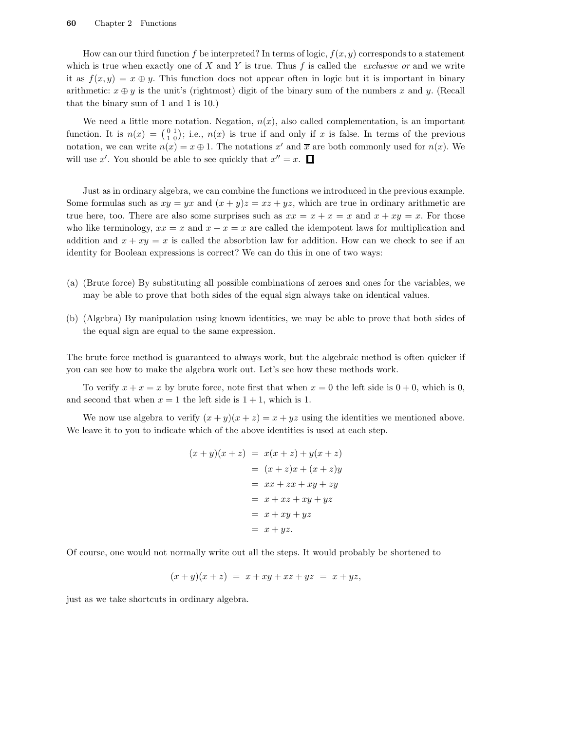How can our third function f be interpreted? In terms of logic,  $f(x, y)$  corresponds to a statement which is true when exactly one of  $X$  and  $Y$  is true. Thus  $f$  is called the *exclusive or* and we write it as  $f(x, y) = x \oplus y$ . This function does not appear often in logic but it is important in binary arithmetic:  $x \oplus y$  is the unit's (rightmost) digit of the binary sum of the numbers x and y. (Recall that the binary sum of 1 and 1 is 10.)

We need a little more notation. Negation,  $n(x)$ , also called complementation, is an important function. It is  $n(x) = \begin{pmatrix} 0 & 1 \\ 1 & 0 \end{pmatrix}$ ; i.e.,  $n(x)$  is true if and only if x is false. In terms of the previous notation, we can write  $n(x) = x \oplus 1$ . The notations x' and  $\overline{x}$  are both commonly used for  $n(x)$ . We will use x'. You should be able to see quickly that  $x'' = x$ .

Just as in ordinary algebra, we can combine the functions we introduced in the previous example. Some formulas such as  $xy = yx$  and  $(x + y)z = xz + yz$ , which are true in ordinary arithmetic are true here, too. There are also some surprises such as  $xx = x + x = x$  and  $x + xy = x$ . For those who like terminology,  $xx = x$  and  $x + x = x$  are called the idempotent laws for multiplication and addition and  $x + xy = x$  is called the absorbtion law for addition. How can we check to see if an identity for Boolean expressions is correct? We can do this in one of two ways:

- (a) (Brute force) By substituting all possible combinations of zeroes and ones for the variables, we may be able to prove that both sides of the equal sign always take on identical values.
- (b) (Algebra) By manipulation using known identities, we may be able to prove that both sides of the equal sign are equal to the same expression.

The brute force method is guaranteed to always work, but the algebraic method is often quicker if you can see how to make the algebra work out. Let's see how these methods work.

To verify  $x + x = x$  by brute force, note first that when  $x = 0$  the left side is  $0 + 0$ , which is 0, and second that when  $x = 1$  the left side is  $1 + 1$ , which is 1.

We now use algebra to verify  $(x + y)(x + z) = x + yz$  using the identities we mentioned above. We leave it to you to indicate which of the above identities is used at each step.

$$
(x + y)(x + z) = x(x + z) + y(x + z)
$$
  

$$
= (x + z)x + (x + z)y
$$
  

$$
= xx + zx + xy + zy
$$
  

$$
= x + xz + xy + yz
$$
  

$$
= x + xy + yz
$$
  

$$
= x + yz.
$$

Of course, one would not normally write out all the steps. It would probably be shortened to

$$
(x + y)(x + z) = x + xy + xz + yz = x + yz,
$$

just as we take shortcuts in ordinary algebra.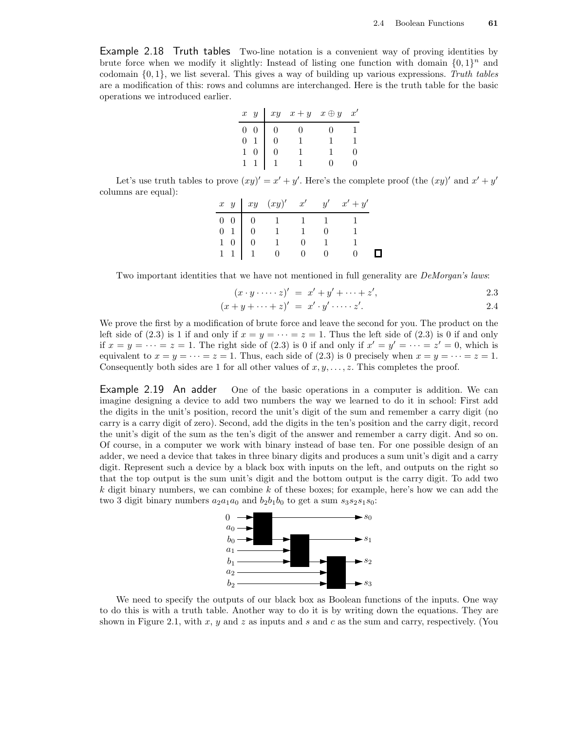Example 2.18 Truth tables Two-line notation is a convenient way of proving identities by brute force when we modify it slightly: Instead of listing one function with domain  $\{0,1\}^n$  and codomain  $\{0, 1\}$ , we list several. This gives a way of building up various expressions. Truth tables are a modification of this: rows and columns are interchanged. Here is the truth table for the basic operations we introduced earlier.

|                | $x \ y \vert xy \ x+y \ x \oplus y$ | $x^{\prime}$ |
|----------------|-------------------------------------|--------------|
| $\overline{0}$ |                                     |              |
| $\overline{0}$ |                                     |              |
| $\mathbf{1}$   |                                     |              |
|                |                                     |              |

Let's use truth tables to prove  $(xy)' = x' + y'$ . Here's the complete proof (the  $(xy)'$  and  $x' + y'$ ) columns are equal):

|  |                                                                                                             |  | $x \ y \mid xy \ (xy)' \ x' \ y' \ x' + y'$ |  |
|--|-------------------------------------------------------------------------------------------------------------|--|---------------------------------------------|--|
|  | $\begin{array}{c cccc} 0 & 0 & 0 & 1 & 1 & 1 \\ 0 & 1 & 0 & 1 & 1 & 0 \\ 1 & 0 & 0 & 1 & 0 & 1 \end{array}$ |  |                                             |  |
|  |                                                                                                             |  |                                             |  |
|  |                                                                                                             |  |                                             |  |
|  |                                                                                                             |  |                                             |  |

Two important identities that we have not mentioned in full generality are *DeMorgan's laws*:

$$
(x \cdot y \cdot \cdots \cdot z)' = x' + y' + \cdots + z', \qquad \qquad 2.3
$$

$$
(x+y+\cdots+z)' = x'\cdot y'\cdot \cdots z'.
$$

We prove the first by a modification of brute force and leave the second for you. The product on the left side of (2.3) is 1 if and only if  $x = y = \cdots = z = 1$ . Thus the left side of (2.3) is 0 if and only if  $x = y = \cdots = z = 1$ . The right side of (2.3) is 0 if and only if  $x' = y' = \cdots = z' = 0$ , which is equivalent to  $x = y = \cdots = z = 1$ . Thus, each side of (2.3) is 0 precisely when  $x = y = \cdots = z = 1$ . Consequently both sides are 1 for all other values of  $x, y, \ldots, z$ . This completes the proof.

Example 2.19 An adder One of the basic operations in a computer is addition. We can imagine designing a device to add two numbers the way we learned to do it in school: First add the digits in the unit's position, record the unit's digit of the sum and remember a carry digit (no carry is a carry digit of zero). Second, add the digits in the ten's position and the carry digit, record the unit's digit of the sum as the ten's digit of the answer and remember a carry digit. And so on. Of course, in a computer we work with binary instead of base ten. For one possible design of an adder, we need a device that takes in three binary digits and produces a sum unit's digit and a carry digit. Represent such a device by a black box with inputs on the left, and outputs on the right so that the top output is the sum unit's digit and the bottom output is the carry digit. To add two  $k$  digit binary numbers, we can combine  $k$  of these boxes; for example, here's how we can add the two 3 digit binary numbers  $a_2a_1a_0$  and  $b_2b_1b_0$  to get a sum  $s_3s_2s_1s_0$ :



We need to specify the outputs of our black box as Boolean functions of the inputs. One way to do this is with a truth table. Another way to do it is by writing down the equations. They are shown in Figure 2.1, with  $x, y$  and  $z$  as inputs and  $s$  and  $c$  as the sum and carry, respectively. (You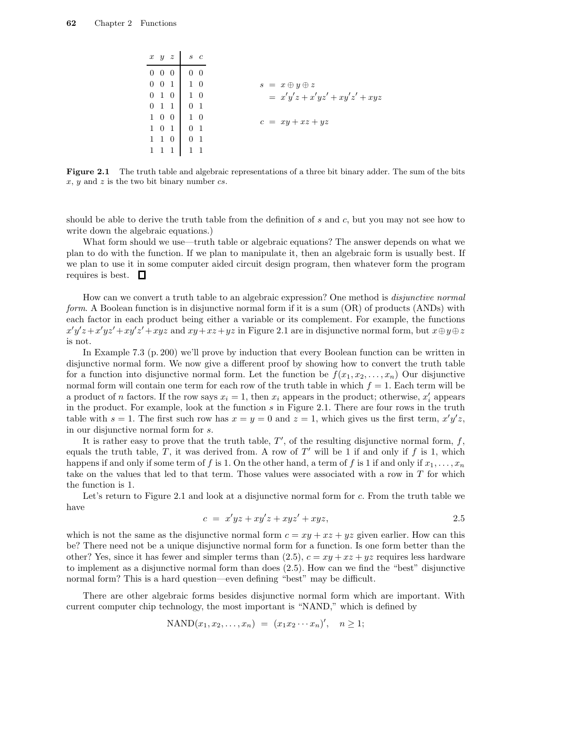|                   | $x \, y \, z$   |                                                                                                                       | $s\,c$     |
|-------------------|-----------------|-----------------------------------------------------------------------------------------------------------------------|------------|
| $0\quad 0\quad 0$ |                 |                                                                                                                       | $0\quad 0$ |
|                   |                 | $0 \ 0 \ 1 \ 1 \ 0$                                                                                                   |            |
|                   |                 | $\begin{array}{c cc} 0 & 1 & 0 & 1 & 0 \\ 0 & 1 & 1 & 0 & 1 \\ 1 & 0 & 0 & 1 & 0 \\ 1 & 0 & 1 & 0 & 1 \\ \end{array}$ |            |
|                   |                 |                                                                                                                       |            |
|                   |                 |                                                                                                                       |            |
|                   |                 |                                                                                                                       |            |
|                   | $1\quad1\quad0$ |                                                                                                                       |            |
|                   | -1              |                                                                                                                       | $1\quad1$  |

Figure 2.1 The truth table and algebraic representations of a three bit binary adder. The sum of the bits  $x, y$  and  $z$  is the two bit binary number  $cs$ .

should be able to derive the truth table from the definition of s and c, but you may not see how to write down the algebraic equations.)

What form should we use—truth table or algebraic equations? The answer depends on what we plan to do with the function. If we plan to manipulate it, then an algebraic form is usually best. If we plan to use it in some computer aided circuit design program, then whatever form the program requires is best.  $\Box$ 

How can we convert a truth table to an algebraic expression? One method is disjunctive normal form. A Boolean function is in disjunctive normal form if it is a sum (OR) of products (ANDs) with each factor in each product being either a variable or its complement. For example, the functions  $x'y'z + x'yz' + xy'z' + xyz$  and  $xy + xz + yz$  in Figure 2.1 are in disjunctive normal form, but  $x \oplus y \oplus z$ is not.

In Example 7.3 (p. 200) we'll prove by induction that every Boolean function can be written in disjunctive normal form. We now give a different proof by showing how to convert the truth table for a function into disjunctive normal form. Let the function be  $f(x_1, x_2, \ldots, x_n)$  Our disjunctive normal form will contain one term for each row of the truth table in which  $f = 1$ . Each term will be a product of n factors. If the row says  $x_i = 1$ , then  $x_i$  appears in the product; otherwise,  $x'_i$  appears in the product. For example, look at the function  $s$  in Figure 2.1. There are four rows in the truth table with  $s = 1$ . The first such row has  $x = y = 0$  and  $z = 1$ , which gives us the first term,  $x'y'z$ , in our disjunctive normal form for s.

It is rather easy to prove that the truth table,  $T'$ , of the resulting disjunctive normal form,  $f$ , equals the truth table, T, it was derived from. A row of  $T'$  will be 1 if and only if f is 1, which happens if and only if some term of f is 1. On the other hand, a term of f is 1 if and only if  $x_1, \ldots, x_n$ take on the values that led to that term. Those values were associated with a row in  $T$  for which the function is 1.

Let's return to Figure 2.1 and look at a disjunctive normal form for c. From the truth table we have

$$
c = x'yz + xy'z + xyz' + xyz,
$$

which is not the same as the disjunctive normal form  $c = xy + xz + yz$  given earlier. How can this be? There need not be a unique disjunctive normal form for a function. Is one form better than the other? Yes, since it has fewer and simpler terms than  $(2.5)$ ,  $c = xy + xz + yz$  requires less hardware to implement as a disjunctive normal form than does (2.5). How can we find the "best" disjunctive normal form? This is a hard question—even defining "best" may be difficult.

There are other algebraic forms besides disjunctive normal form which are important. With current computer chip technology, the most important is "NAND," which is defined by

$$
\text{NAND}(x_1, x_2, \dots, x_n) = (x_1 x_2 \cdots x_n)', \quad n \ge 1;
$$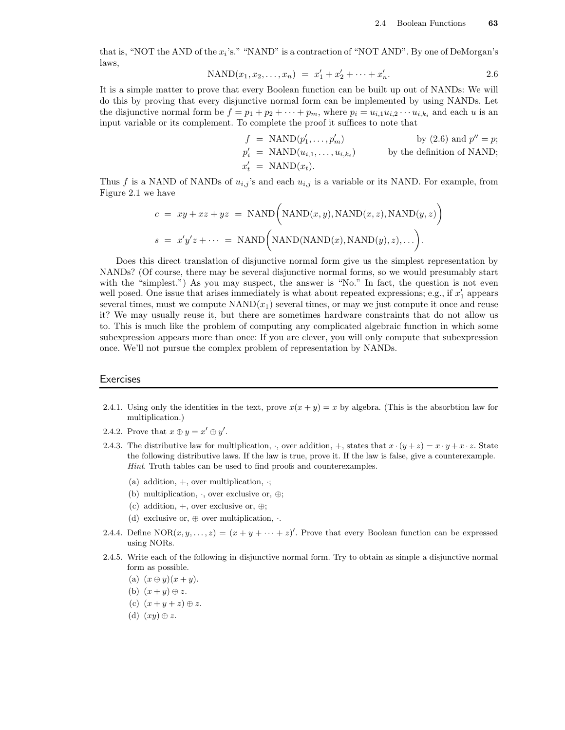that is, "NOT the AND of the  $x_i$ 's." "NAND" is a contraction of "NOT AND". By one of DeMorgan's laws,

$$
NAND(x_1, x_2, \dots, x_n) = x'_1 + x'_2 + \dots + x'_n.
$$

It is a simple matter to prove that every Boolean function can be built up out of NANDs: We will do this by proving that every disjunctive normal form can be implemented by using NANDs. Let the disjunctive normal form be  $f = p_1 + p_2 + \cdots + p_m$ , where  $p_i = u_{i,1}u_{i,2} \cdots u_{i,k_i}$  and each u is an input variable or its complement. To complete the proof it suffices to note that

$$
f = \text{NAND}(p'_1, \dots, p'_m) \qquad \text{by (2.6) and } p'' = p;
$$
  
\n
$$
p'_i = \text{NAND}(u_{i,1}, \dots, u_{i,k_i}) \qquad \text{by the definition of NAND};
$$
  
\n
$$
x'_t = \text{NAND}(x_t).
$$

Thus f is a NAND of NANDs of  $u_{i,j}$ 's and each  $u_{i,j}$  is a variable or its NAND. For example, from Figure 2.1 we have

$$
c = xy + xz + yz = \text{NAND}\Big(\text{NAND}(x, y), \text{NAND}(x, z), \text{NAND}(y, z)\Big)
$$

$$
s = x'y'z + \dots = \text{NAND}\Big(\text{NAND}(\text{NAND}(x), \text{NAND}(y), z), \dots\Big).
$$

Does this direct translation of disjunctive normal form give us the simplest representation by NANDs? (Of course, there may be several disjunctive normal forms, so we would presumably start with the "simplest.") As you may suspect, the answer is "No." In fact, the question is not even well posed. One issue that arises immediately is what about repeated expressions; e.g., if  $x'_1$  appears several times, must we compute  $NAND(x_1)$  several times, or may we just compute it once and reuse it? We may usually reuse it, but there are sometimes hardware constraints that do not allow us to. This is much like the problem of computing any complicated algebraic function in which some subexpression appears more than once: If you are clever, you will only compute that subexpression once. We'll not pursue the complex problem of representation by NANDs.

#### **Exercises**

- 2.4.1. Using only the identities in the text, prove  $x(x + y) = x$  by algebra. (This is the absorbtion law for multiplication.)
- 2.4.2. Prove that  $x \oplus y = x' \oplus y'$ .
- 2.4.3. The distributive law for multiplication,  $\cdot$ , over addition,  $+$ , states that  $x \cdot (y + z) = x \cdot y + x \cdot z$ . State the following distributive laws. If the law is true, prove it. If the law is false, give a counterexample. Hint. Truth tables can be used to find proofs and counterexamples.
	- (a) addition,  $+$ , over multiplication,  $\cdot$ ;
	- (b) multiplication,  $\cdot$ , over exclusive or,  $\oplus$ ;
	- (c) addition,  $+$ , over exclusive or,  $\oplus$ ;
	- (d) exclusive or,  $\oplus$  over multiplication,  $\cdot$ .
- 2.4.4. Define  $NOR(x, y, \ldots, z) = (x + y + \cdots + z)'$ . Prove that every Boolean function can be expressed using NORs.
- 2.4.5. Write each of the following in disjunctive normal form. Try to obtain as simple a disjunctive normal form as possible.
	- (a)  $(x \oplus y)(x + y)$ .
	- (b)  $(x+y) \oplus z$ .
	- (c)  $(x+y+z) \oplus z$ .
	- (d)  $(xy) \oplus z$ .